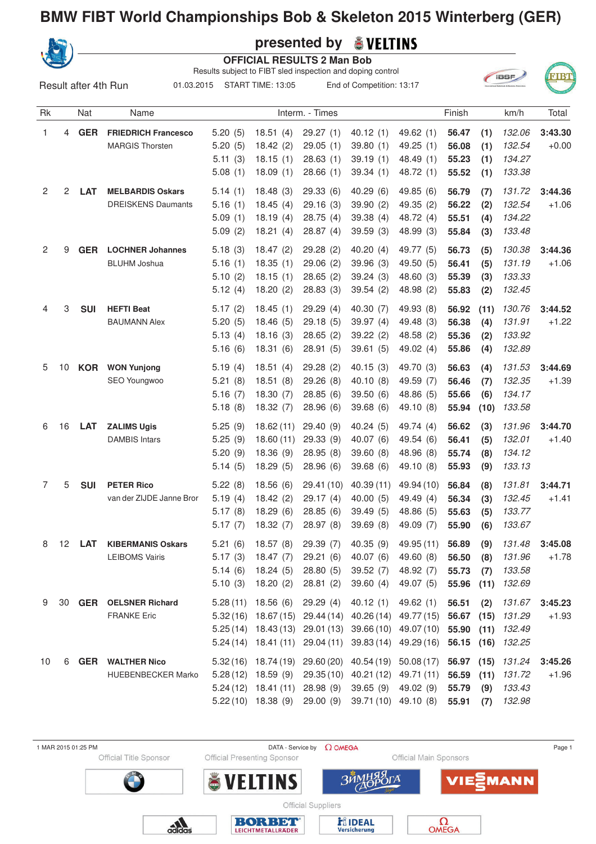

# **presented by**

 **OFFICIAL RESULTS 2 Man Bob**

Results subject to FIBT sled inspection and doping control 01.03.2015 START TIME: 13:05 End of Competition: 13:17





Result after 4th Run

| Rk             |                | <b>Nat</b> | Name                       |         |                               | Interm. - Times |                                                             |                       | Finish     |      | km/h              | Total   |
|----------------|----------------|------------|----------------------------|---------|-------------------------------|-----------------|-------------------------------------------------------------|-----------------------|------------|------|-------------------|---------|
| 1              | 4              | <b>GER</b> | <b>FRIEDRICH Francesco</b> | 5.20(5) | 18.51(4)                      | 29.27(1)        | 40.12(1)                                                    | 49.62 (1)             | 56.47      | (1)  | 132.06            | 3:43.30 |
|                |                |            | <b>MARGIS Thorsten</b>     | 5.20(5) | 18.42(2)                      | 29.05(1)        | 39.80(1)                                                    | 49.25 (1)             | 56.08      | (1)  | 132.54            | $+0.00$ |
|                |                |            |                            | 5.11(3) | 18.15(1)                      | 28.63(1)        | 39.19(1)                                                    | 48.49 (1)             | 55.23      | (1)  | 134.27            |         |
|                |                |            |                            | 5.08(1) | 18.09(1)                      | 28.66(1)        | 39.34(1)                                                    | 48.72 (1)             | 55.52      | (1)  | 133.38            |         |
| $\overline{2}$ | $\overline{2}$ | <b>LAT</b> | <b>MELBARDIS Oskars</b>    | 5.14(1) | 18.48(3)                      | 29.33(6)        | 40.29(6)                                                    | 49.85 (6)             | 56.79      | (7)  | 131.72            | 3:44.36 |
|                |                |            | <b>DREISKENS Daumants</b>  | 5.16(1) | 18.45(4)                      | 29.16(3)        | 39.90(2)                                                    | 49.35 (2)             | 56.22      | (2)  | 132.54            | $+1.06$ |
|                |                |            |                            | 5.09(1) | 18.19(4)                      | 28.75(4)        | 39.38 (4)                                                   | 48.72 (4)             | 55.51      | (4)  | 134.22            |         |
|                |                |            |                            | 5.09(2) | 18.21(4)                      | 28.87(4)        | 39.59(3)                                                    | 48.99 (3)             | 55.84      | (3)  | 133.48            |         |
| $\overline{2}$ | 9              | <b>GER</b> | <b>LOCHNER Johannes</b>    | 5.18(3) | 18.47(2)                      | 29.28(2)        | 40.20(4)                                                    | 49.77 (5)             | 56.73      | (5)  | 130.38            | 3:44.36 |
|                |                |            | <b>BLUHM</b> Joshua        | 5.16(1) | 18.35(1)                      | 29.06(2)        | 39.96(3)                                                    | 49.50 (5)             | 56.41      | (5)  | 131.19            | $+1.06$ |
|                |                |            |                            | 5.10(2) | 18.15(1)                      | 28.65(2)        | 39.24(3)                                                    | 48.60 (3)             | 55.39      | (3)  | 133.33            |         |
|                |                |            |                            | 5.12(4) | 18.20(2)                      | 28.83(3)        | 39.54(2)                                                    | 48.98 (2)             | 55.83      | (2)  | 132.45            |         |
| 4              | 3              | <b>SUI</b> | <b>HEFTI Beat</b>          | 5.17(2) | 18.45(1)                      | 29.29(4)        | 40.30(7)                                                    | 49.93 (8)             | 56.92      | (11) | 130.76            | 3:44.52 |
|                |                |            | <b>BAUMANN Alex</b>        | 5.20(5) | 18.46(5)                      | 29.18(5)        | 39.97(4)                                                    | 49.48 (3)             | 56.38      | (4)  | 131.91            | $+1.22$ |
|                |                |            |                            | 5.13(4) | 18.16(3)                      | 28.65(2)        | 39.22(2)                                                    | 48.58(2)              | 55.36      | (2)  | 133.92            |         |
|                |                |            |                            | 5.16(6) | 18.31(6)                      | 28.91(5)        | 39.61(5)                                                    | 49.02 (4)             | 55.86      | (4)  | 132.89            |         |
| 5              | 10             | <b>KOR</b> | <b>WON Yunjong</b>         | 5.19(4) | 18.51(4)                      | 29.28(2)        | 40.15(3)                                                    | 49.70 (3)             | 56.63      | (4)  | 131.53            | 3:44.69 |
|                |                |            | SEO Youngwoo               | 5.21(8) | 18.51(8)                      | 29.26(8)        | 40.10(8)                                                    | 49.59 (7)             | 56.46      | (7)  | 132.35            | $+1.39$ |
|                |                |            |                            | 5.16(7) | 18.30(7)                      | 28.85(6)        | 39.50 (6)                                                   | 48.86 (5)             | 55.66      | (6)  | 134.17            |         |
|                |                |            |                            | 5.18(8) | 18.32(7)                      | 28.96(6)        | 39.68 (6)                                                   | 49.10 (8)             | 55.94      | (10) | 133.58            |         |
| 6              | 16             | <b>LAT</b> | <b>ZALIMS Ugis</b>         | 5.25(9) | 18.62(11)                     | 29.40 (9)       | 40.24(5)                                                    | 49.74 (4)             | 56.62      | (3)  | 131.96            | 3:44.70 |
|                |                |            | <b>DAMBIS Intars</b>       | 5.25(9) | 18.60(11)                     | 29.33 (9)       | 40.07(6)                                                    | 49.54 (6)             | 56.41      | (5)  | 132.01            | $+1.40$ |
|                |                |            |                            | 5.20(9) | 18.36(9)                      | 28.95 (8)       | 39.60(8)                                                    | 48.96 (8)             | 55.74      | (8)  | 134.12            |         |
|                |                |            |                            | 5.14(5) | 18.29(5)                      | 28.96(6)        | 39.68 (6)                                                   | 49.10 (8)             | 55.93      | (9)  | 133.13            |         |
| 7              | 5              | <b>SUI</b> | <b>PETER Rico</b>          | 5.22(8) | 18.56(6)                      | 29.41(10)       | 40.39(11)                                                   | 49.94 (10)            | 56.84      | (8)  | 131.81            | 3:44.71 |
|                |                |            | van der ZIJDE Janne Bror   | 5.19(4) | 18.42(2)                      | 29.17(4)        | 40.00(5)                                                    | 49.49 (4)             | 56.34      | (3)  | 132.45            | $+1.41$ |
|                |                |            |                            | 5.17(8) | 18.29(6)                      | 28.85(6)        | 39.49(5)                                                    | 48.86 (5)             | 55.63      | (5)  | 133.77            |         |
|                |                |            |                            | 5.17(7) | 18.32(7)                      | 28.97(8)        | 39.69(8)                                                    | 49.09 (7)             | 55.90      | (6)  | 133.67            |         |
| 8              | 12             | <b>LAT</b> | <b>KIBERMANIS Oskars</b>   | 5.21(6) | 18.57(8)                      | 29.39 (7)       | 40.35(9)                                                    | 49.95 (11)            | 56.89      | (9)  | 131.48            | 3:45.08 |
|                |                |            | <b>LEIBOMS Vairis</b>      |         | 5.17 (3) 18.47 (7) 29.21 (6)  |                 | 40.07 (6) 49.60 (8)                                         |                       | 56.50 (8)  |      | 131.96            | $+1.78$ |
|                |                |            |                            | 5.14(6) | 18.24 (5)                     | 28.80(5)        | 39.52(7)                                                    | 48.92 (7)             | 55.73      | (7)  | 133.58            |         |
|                |                |            |                            | 5.10(3) | 18.20(2)                      | 28.81(2)        | 39.60(4)                                                    | 49.07 (5)             | 55.96      | (11) | 132.69            |         |
| 9              |                |            | 30 GER OELSNER Richard     |         | $5.28(11)$ 18.56 (6)          | 29.29(4)        | 40.12(1)                                                    | 49.62(1)              | 56.51      | (2)  | 131.67            | 3:45.23 |
|                |                |            | <b>FRANKE Eric</b>         |         |                               |                 | 5.32 (16) 18.67 (15) 29.44 (14) 40.26 (14) 49.77 (15) 56.67 |                       |            | (15) | 131.29            | $+1.93$ |
|                |                |            |                            |         |                               |                 | 5.25 (14) 18.43 (13) 29.01 (13) 39.66 (10) 49.07 (10) 55.90 |                       |            | (11) | 132.49            |         |
|                |                |            |                            |         | $5.24(14)$ 18.41(11)          | 29.04 (11)      |                                                             | 39.83 (14) 49.29 (16) |            |      | 56.15 (16) 132.25 |         |
| 10             | 6              | <b>GER</b> | <b>WALTHER Nico</b>        |         | $5.32(16)$ 18.74 (19)         |                 | 29.60 (20) 40.54 (19) 50.08 (17)                            |                       | 56.97 (15) |      | 131.24            | 3:45.26 |
|                |                |            | <b>HUEBENBECKER Marko</b>  |         | $5.28(12)$ 18.59 (9)          | 29.35 (10)      |                                                             | 40.21 (12) 49.71 (11) | 56.59      | (11) | 131.72            | $+1.96$ |
|                |                |            |                            |         | $5.24(12)$ 18.41(11) 28.98(9) |                 | 39.65 (9) 49.02 (9)                                         |                       | 55.79      | (9)  | 133.43            |         |
|                |                |            |                            |         | $5.22(10)$ 18.38 (9)          | 29.00(9)        | 39.71 (10) 49.10 (8)                                        |                       | 55.91      | (7)  | 132.98            |         |
|                |                |            |                            |         |                               |                 |                                                             |                       |            |      |                   |         |

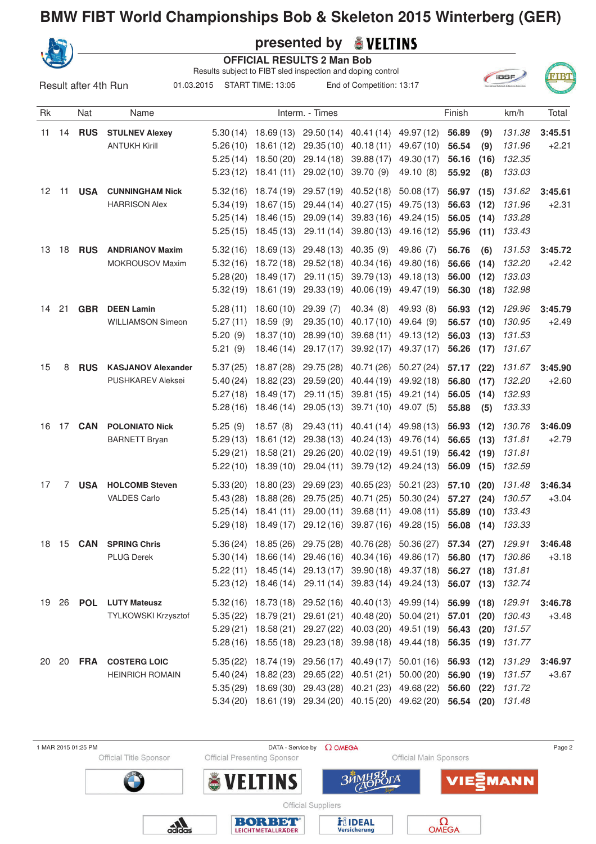

#### **presented by**

**IBSF** 

FIBI

 **OFFICIAL RESULTS 2 Man Bob**

Results subject to FIBT sled inspection and doping control 01.03.2015 START TIME: 13:05 End of Competition: 13:17



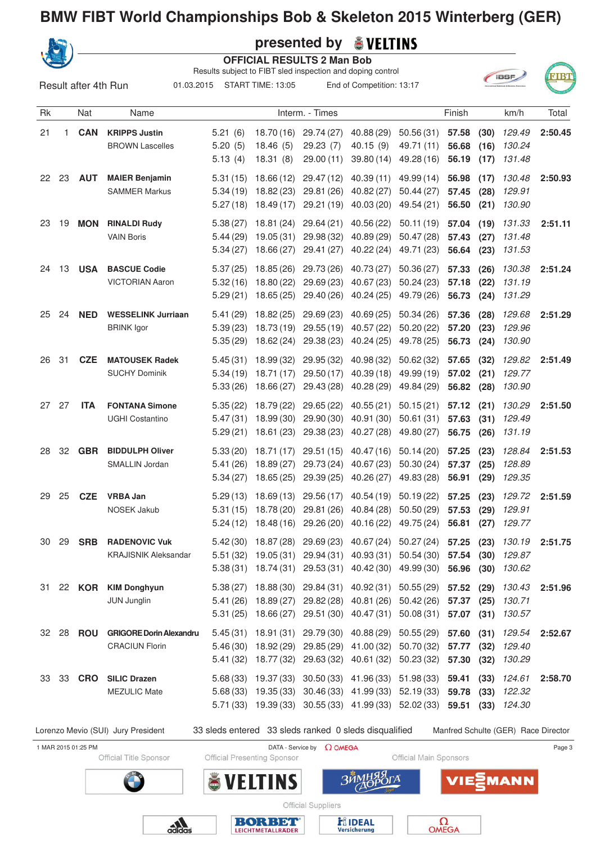

Result after 4th Run

## **presented by**

 **OFFICIAL RESULTS 2 Man Bob**

Results subject to FIBT sled inspection and doping control 01.03.2015 START TIME: 13:05 End of Competition: 13:17

| Rk    |    | <b>Nat</b>          | Name                               |                                    |                       | Interm. - Times                  |                                                                         |                               | Finish |      | km/h                                | Total   |
|-------|----|---------------------|------------------------------------|------------------------------------|-----------------------|----------------------------------|-------------------------------------------------------------------------|-------------------------------|--------|------|-------------------------------------|---------|
| 21    | 1. | <b>CAN</b>          | <b>KRIPPS Justin</b>               | 5.21(6)                            | 18.70 (16)            | 29.74 (27)                       | 40.88 (29)                                                              | 50.56(31)                     | 57.58  | (30) | 129.49                              | 2:50.45 |
|       |    |                     | <b>BROWN Lascelles</b>             | 5.20(5)                            | 18.46(5)              | 29.23(7)                         | 40.15(9)                                                                | 49.71 (11)                    | 56.68  | (16) | 130.24                              |         |
|       |    |                     |                                    | 5.13(4)                            | 18.31(8)              | 29.00 (11)                       | 39.80(14)                                                               | 49.28 (16)                    | 56.19  | (17) | 131.48                              |         |
| 22    | 23 | <b>AUT</b>          | <b>MAIER Benjamin</b>              | 5.31(15)                           | 18.66(12)             | 29.47(12)                        | 40.39(11)                                                               | 49.99 (14)                    | 56.98  | (17) | 130.48                              | 2:50.93 |
|       |    |                     | <b>SAMMER Markus</b>               | 5.34(19)                           | 18.82 (23)            | 29.81 (26)                       | 40.82 (27)                                                              | 50.44(27)                     | 57.45  | (28) | 129.91                              |         |
|       |    |                     |                                    | 5.27(18)                           | 18.49(17)             | 29.21 (19)                       | 40.03 (20)                                                              | 49.54 (21)                    | 56.50  | (21) | 130.90                              |         |
| 23    | 19 | <b>MON</b>          | <b>RINALDI Rudy</b>                | 5.38(27)                           | 18.81(24)             | 29.64 (21)                       | 40.56(22)                                                               | 50.11(19)                     | 57.04  | (19) | 131.33                              | 2:51.11 |
|       |    |                     | <b>VAIN Boris</b>                  | 5.44(29)                           | 19.05(31)             | 29.98 (32)                       | 40.89 (29)                                                              | 50.47(28)                     | 57.43  | (27) | 131.48                              |         |
|       |    |                     |                                    | 5.34(27)                           | 18.66(27)             | 29.41 (27)                       | 40.22(24)                                                               | 49.71 (23)                    | 56.64  | (23) | 131.53                              |         |
| 24    | 13 | <b>USA</b>          | <b>BASCUE Codie</b>                | 5.37(25)                           | 18.85 (26)            | 29.73 (26)                       | 40.73 (27)                                                              | 50.36(27)                     | 57.33  | (26) | 130.38                              | 2:51.24 |
|       |    |                     | <b>VICTORIAN Aaron</b>             | 5.32(16)                           | 18.80(22)             | 29.69(23)                        | 40.67 (23)                                                              | 50.24(23)                     | 57.18  | (22) | 131.19                              |         |
|       |    |                     |                                    | 5.29(21)                           | 18.65(25)             | 29.40 (26)                       | 40.24 (25)                                                              | 49.79 (26)                    | 56.73  | (24) | 131.29                              |         |
| 25    | 24 | <b>NED</b>          | <b>WESSELINK Jurriaan</b>          | 5.41(29)                           | 18.82(25)             | 29.69 (23)                       | 40.69(25)                                                               | 50.34(26)                     | 57.36  | (28) | 129.68                              | 2:51.29 |
|       |    |                     | <b>BRINK</b> Igor                  | 5.39(23)                           | 18.73 (19)            | 29.55(19)                        | 40.57(22)                                                               | 50.20(22)                     | 57.20  | (23) | 129.96                              |         |
|       |    |                     |                                    | 5.35(29)                           | 18.62 (24)            | 29.38 (23)                       | 40.24(25)                                                               | 49.78 (25)                    | 56.73  | (24) | 130.90                              |         |
| 26    | 31 | <b>CZE</b>          | <b>MATOUSEK Radek</b>              | 5.45(31)                           | 18.99 (32)            | 29.95(32)                        | 40.98 (32)                                                              | 50.62(32)                     | 57.65  | (32) | 129.82                              | 2:51.49 |
|       |    |                     | <b>SUCHY Dominik</b>               | 5.34(19)                           | 18.71(17)             | 29.50(17)                        | 40.39(18)                                                               | 49.99 (19)                    | 57.02  | (21) | 129.77                              |         |
|       |    |                     |                                    | 5.33(26)                           | 18.66 (27)            | 29.43 (28)                       | 40.28 (29)                                                              | 49.84 (29)                    | 56.82  | (28) | 130.90                              |         |
| 27 27 |    | <b>ITA</b>          | <b>FONTANA Simone</b>              | 5.35(22)                           | 18.79 (22)            | 29.65(22)                        | 40.55(21)                                                               | 50.15(21)                     | 57.12  | (21) | 130.29                              | 2:51.50 |
|       |    |                     | <b>UGHI Costantino</b>             | 5.47(31)                           | 18.99(30)             | 29.90 (30)                       | 40.91 (30)                                                              | 50.61(31)                     | 57.63  | (31) | 129.49                              |         |
|       |    |                     |                                    | 5.29(21)                           | 18.61(23)             | 29.38 (23)                       | 40.27(28)                                                               | 49.80 (27)                    | 56.75  | (26) | 131.19                              |         |
| 28    | 32 | <b>GBR</b>          | <b>BIDDULPH Oliver</b>             | 5.33(20)                           | 18.71(17)             | 29.51 (15)                       | 40.47 (16)                                                              | 50.14(20)                     | 57.25  | (23) | 128.84                              | 2:51.53 |
|       |    |                     | SMALLIN Jordan                     | 5.41(26)                           | 18.89(27)             | 29.73 (24)                       | 40.67 (23)                                                              | 50.30(24)                     | 57.37  | (25) | 128.89                              |         |
|       |    |                     |                                    | 5.34(27)                           | 18.65(25)             | 29.39(25)                        | 40.26 (27)                                                              | 49.83 (28)                    | 56.91  | (29) | 129.35                              |         |
| 29    | 25 | <b>CZE</b>          | <b>VRBA Jan</b>                    | 5.29(13)                           | 18.69 (13)            | 29.56 (17)                       | 40.54 (19)                                                              | 50.19(22)                     | 57.25  | (23) | 129.72                              | 2:51.59 |
|       |    |                     | <b>NOSEK Jakub</b>                 | 5.31(15)                           | 18.78 (20)            | 29.81 (26)                       | 40.84 (28)                                                              | 50.50(29)                     | 57.53  | (29) | 129.91                              |         |
|       |    |                     |                                    | 5.24(12)                           | 18.48(16)             | 29.26 (20)                       | 40.16 (22)                                                              | 49.75 (24)                    | 56.81  | (27) | 129.77                              |         |
| 30    | 29 | <b>SRB</b>          | <b>RADENOVIC Vuk</b>               | 5.42(30)                           | 18.87 (28) 29.69 (23) |                                  |                                                                         | 40.67 (24) 50.27 (24) 57.25   |        | (23) | 130.19                              | 2:51.75 |
|       |    |                     | <b>KRAJISNIK Aleksandar</b>        |                                    |                       |                                  | 5.51 (32) 19.05 (31) 29.94 (31) 40.93 (31) 50.54 (30) 57.54 (30) 129.87 |                               |        |      |                                     |         |
|       |    |                     |                                    |                                    |                       |                                  | 5.38 (31) 18.74 (31) 29.53 (31) 40.42 (30) 49.99 (30) 56.96 (30) 130.62 |                               |        |      |                                     |         |
|       |    |                     | 31 22 KOR KIM Donghyun             |                                    |                       |                                  | 5.38 (27) 18.88 (30) 29.84 (31) 40.92 (31) 50.55 (29) 57.52 (29)        |                               |        |      | 130.43                              | 2:51.96 |
|       |    |                     | <b>JUN Junglin</b>                 |                                    |                       |                                  | 5.41 (26) 18.89 (27) 29.82 (28) 40.81 (26) 50.42 (26) 57.37 (25)        |                               |        |      | 130.71                              |         |
|       |    |                     |                                    |                                    |                       |                                  | 5.31 (25) 18.66 (27) 29.51 (30) 40.47 (31)                              | $50.08(31)$ 57.07 (31)        |        |      | 130.57                              |         |
| 32 28 |    | <b>ROU</b>          | <b>GRIGORE Dorin Alexandru</b>     |                                    |                       |                                  | 5.45 (31) 18.91 (31) 29.79 (30) 40.88 (29) 50.55 (29) 57.60             |                               |        | (31) | 129.54                              | 2:52.67 |
|       |    |                     | <b>CRACIUN Florin</b>              |                                    |                       |                                  | 5.46 (30) 18.92 (29) 29.85 (29) 41.00 (32) 50.70 (32) 57.77             |                               |        | (32) | 129.40                              |         |
|       |    |                     |                                    |                                    |                       |                                  | 5.41 (32) 18.77 (32) 29.63 (32) 40.61 (32) 50.23 (32) 57.30 (32)        |                               |        |      | 130.29                              |         |
| 33    | 33 | <b>CRO</b>          | <b>SILIC Drazen</b>                |                                    |                       |                                  | 5.68 (33) 19.37 (33) 30.50 (33) 41.96 (33) 51.98 (33) 59.41 (33) 124.61 |                               |        |      |                                     | 2:58.70 |
|       |    |                     | <b>MEZULIC Mate</b>                |                                    |                       |                                  | 5.68 (33) 19.35 (33) 30.46 (33) 41.99 (33) 52.19 (33) 59.78             |                               |        | (33) | 122.32                              |         |
|       |    |                     |                                    |                                    |                       |                                  | 5.71 (33) 19.39 (33) 30.55 (33) 41.99 (33) 52.02 (33) 59.51 (33) 124.30 |                               |        |      |                                     |         |
|       |    |                     | Lorenzo Mevio (SUI) Jury President |                                    |                       |                                  | 33 sleds entered 33 sleds ranked 0 sleds disqualified                   |                               |        |      | Manfred Schulte (GER) Race Director |         |
|       |    | 1 MAR 2015 01:25 PM |                                    |                                    |                       | DATA - Service by $\Omega$ OMEGA |                                                                         |                               |        |      |                                     | Page 3  |
|       |    |                     | <b>Official Title Sponsor</b>      | <b>Official Presenting Sponsor</b> |                       |                                  |                                                                         | <b>Official Main Sponsors</b> |        |      |                                     |         |



 $\frac{1}{\text{address}}$ 



**BORBET** 

LEICHTMETALLRADER

FLIDEAL<br>Versicherung

 $\overline{A}$ 



 $\Omega$ OMEGA

**IBSF**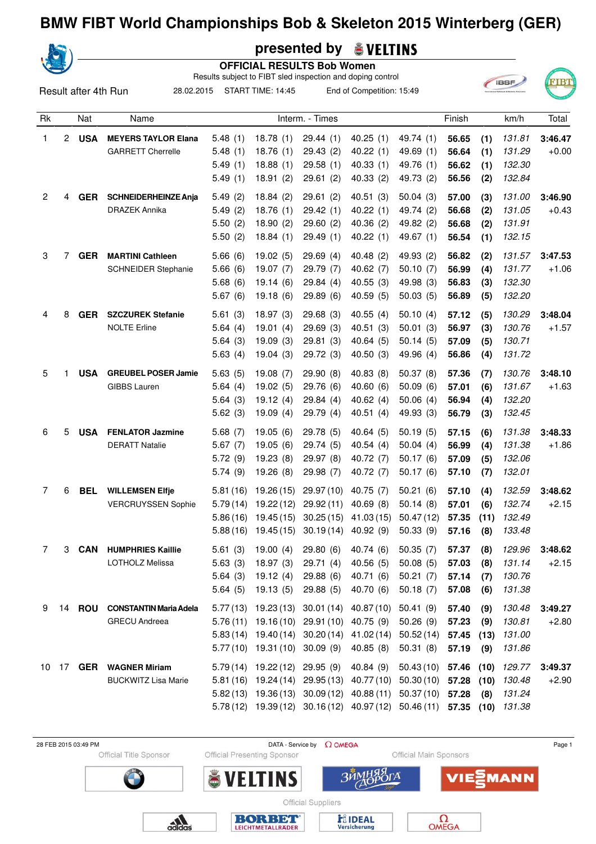|                |   |            |                                    |          |                   | presented by WELTINS                                                                            |                           |           |        |      |             |         |
|----------------|---|------------|------------------------------------|----------|-------------------|-------------------------------------------------------------------------------------------------|---------------------------|-----------|--------|------|-------------|---------|
|                |   |            |                                    |          |                   | <b>OFFICIAL RESULTS Bob Women</b><br>Results subject to FIBT sled inspection and doping control |                           |           |        |      |             |         |
|                |   |            | Result after 4th Run<br>28.02.2015 |          | START TIME: 14:45 |                                                                                                 | End of Competition: 15:49 |           |        |      | <b>IBSF</b> |         |
|                |   |            |                                    |          |                   |                                                                                                 |                           |           |        |      |             |         |
| Rk             |   | Nat        | Name                               |          |                   | Interm. - Times                                                                                 |                           |           | Finish |      | km/h        | Total   |
| 1              | 2 | <b>USA</b> | <b>MEYERS TAYLOR Elana</b>         | 5.48(1)  | 18.78(1)          | 29.44(1)                                                                                        | 40.25(1)                  | 49.74 (1) | 56.65  | (1)  | 131.81      | 3:46.47 |
|                |   |            | <b>GARRETT Cherrelle</b>           | 5.48(1)  | 18.76(1)          | 29.43(2)                                                                                        | 40.22(1)                  | 49.69(1)  | 56.64  | (1)  | 131.29      | $+0.00$ |
|                |   |            |                                    | 5.49(1)  | 18.88(1)          | 29.58(1)                                                                                        | 40.33(1)                  | 49.76 (1) | 56.62  | (1)  | 132.30      |         |
|                |   |            |                                    | 5.49(1)  | 18.91(2)          | 29.61(2)                                                                                        | 40.33(2)                  | 49.73 (2) | 56.56  | (2)  | 132.84      |         |
| $\overline{2}$ | 4 | <b>GER</b> | <b>SCHNEIDERHEINZE Anja</b>        | 5.49(2)  | 18.84(2)          | 29.61(2)                                                                                        | 40.51(3)                  | 50.04(3)  | 57.00  | (3)  | 131.00      | 3:46.90 |
|                |   |            | <b>DRAZEK Annika</b>               | 5.49(2)  | 18.76(1)          | 29.42 (1)                                                                                       | 40.22(1)                  | 49.74 (2) | 56.68  | (2)  | 131.05      | $+0.43$ |
|                |   |            |                                    | 5.50(2)  | 18.90(2)          | 29.60(2)                                                                                        | 40.36(2)                  | 49.82 (2) | 56.68  | (2)  | 131.91      |         |
|                |   |            |                                    | 5.50(2)  | 18.84(1)          | 29.49(1)                                                                                        | 40.22(1)                  | 49.67 (1) | 56.54  | (1)  | 132.15      |         |
| 3              | 7 | <b>GER</b> | <b>MARTINI Cathleen</b>            | 5.66(6)  | 19.02(5)          | 29.69(4)                                                                                        | 40.48(2)                  | 49.93 (2) | 56.82  | (2)  | 131.57      | 3:47.53 |
|                |   |            | <b>SCHNEIDER Stephanie</b>         | 5.66(6)  | 19.07(7)          | 29.79 (7)                                                                                       | 40.62 $(7)$               | 50.10(7)  | 56.99  | (4)  | 131.77      | $+1.06$ |
|                |   |            |                                    | 5.68(6)  | 19.14(6)          | 29.84(4)                                                                                        | 40.55(3)                  | 49.98 (3) | 56.83  | (3)  | 132.30      |         |
|                |   |            |                                    | 5.67(6)  | 19.18(6)          | 29.89(6)                                                                                        | 40.59 (5)                 | 50.03(5)  | 56.89  | (5)  | 132.20      |         |
| 4              | 8 | <b>GER</b> | <b>SZCZUREK Stefanie</b>           | 5.61(3)  | 18.97(3)          | 29.68(3)                                                                                        | 40.55(4)                  | 50.10(4)  | 57.12  | (5)  | 130.29      | 3:48.04 |
|                |   |            | <b>NOLTE Erline</b>                | 5.64(4)  | 19.01(4)          | 29.69(3)                                                                                        | 40.51(3)                  | 50.01(3)  | 56.97  | (3)  | 130.76      | $+1.57$ |
|                |   |            |                                    | 5.64(3)  | 19.09(3)          | 29.81(3)                                                                                        | 40.64(5)                  | 50.14(5)  | 57.09  | (5)  | 130.71      |         |
|                |   |            |                                    | 5.63(4)  | 19.04(3)          | 29.72 (3)                                                                                       | 40.50(3)                  | 49.96 (4) | 56.86  | (4)  | 131.72      |         |
| 5              | 1 | <b>USA</b> | <b>GREUBEL POSER Jamie</b>         | 5.63(5)  | 19.08(7)          | 29.90(8)                                                                                        | 40.83(8)                  | 50.37(8)  | 57.36  | (7)  | 130.76      | 3:48.10 |
|                |   |            | GIBBS Lauren                       | 5.64(4)  | 19.02(5)          | 29.76 (6)                                                                                       | 40.60(6)                  | 50.09(6)  | 57.01  | (6)  | 131.67      | $+1.63$ |
|                |   |            |                                    | 5.64(3)  | 19.12(4)          | 29.84(4)                                                                                        | 40.62(4)                  | 50.06(4)  | 56.94  | (4)  | 132.20      |         |
|                |   |            |                                    | 5.62(3)  | 19.09(4)          | 29.79 (4)                                                                                       | 40.51(4)                  | 49.93 (3) | 56.79  | (3)  | 132.45      |         |
| 6              | 5 | <b>USA</b> | <b>FENLATOR Jazmine</b>            | 5.68(7)  | 19.05(6)          | 29.78 (5)                                                                                       | 40.64(5)                  | 50.19(5)  | 57.15  | (6)  | 131.38      | 3:48.33 |
|                |   |            | <b>DERATT Natalie</b>              | 5.67(7)  | 19.05(6)          | 29.74 (5)                                                                                       | 40.54(4)                  | 50.04(4)  | 56.99  | (4)  | 131.38      | $+1.86$ |
|                |   |            |                                    | 5.72(9)  | 19.23(8)          | 29.97 (8)                                                                                       | 40.72 (7)                 | 50.17(6)  | 57.09  | (5)  | 132.06      |         |
|                |   |            |                                    | 5.74(9)  | 19.26(8)          | 29.98 (7)                                                                                       | 40.72 (7)                 | 50.17(6)  | 57.10  | (7)  | 132.01      |         |
| 7              | 6 | <b>BEL</b> | <b>WILLEMSEN Elfje</b>             |          |                   | 5.81 (16) 19.26 (15) 29.97 (10) 40.75 (7)                                                       |                           | 50.21(6)  | 57.10  | (4)  | 132.59      | 3:48.62 |
|                |   |            | <b>VERCRUYSSEN Sophie</b>          |          |                   | $5.79(14)$ 19.22 (12) 29.92 (11)                                                                | 40.69(8)                  | 50.14(8)  | 57.01  | (6)  | 132.74      | $+2.15$ |
|                |   |            |                                    |          |                   | $5.86(16)$ 19.45 (15) 30.25 (15)                                                                | 41.03 (15)                | 50.47(12) | 57.35  | (11) | 132.49      |         |
|                |   |            |                                    | 5.88(16) | 19.45 (15)        | 30.19(14)                                                                                       | 40.92 (9)                 | 50.33(9)  | 57.16  | (8)  | 133.48      |         |
| 7              | 3 | CAN        | <b>HUMPHRIES Kaillie</b>           | 5.61(3)  | 19.00(4)          | 29.80(6)                                                                                        | 40.74(6)                  | 50.35(7)  | 57.37  | (8)  | 129.96      | 3:48.62 |
|                |   |            | LOTHOLZ Melissa                    | 5.63(3)  | 18.97 (3)         | 29.71(4)                                                                                        | 40.56(5)                  | 50.08(5)  | 57.03  | (8)  | 131.14      | $+2.15$ |
|                |   |            |                                    | 5.64(3)  | 19.12(4)          | 29.88(6)                                                                                        | 40.71 (6)                 | 50.21(7)  | 57.14  | (7)  | 130.76      |         |
|                |   |            |                                    | 5.64(5)  | 19.13(5)          | 29.88(5)                                                                                        | 40.70 (6)                 | 50.18(7)  | 57.08  | (6)  | 131.38      |         |

28 FEB 2015 03:49 PM DATA - Service by Page 1 **Official Presenting Sponsor** Official Title Sponsor **Official Main Sponsors** ЗЙМЕ **MANN**  $\Gamma\Delta$ FI **NS Official Suppliers**  $\Omega_{\text{OMEGA}}$ **BORBET hilDEAL**  $\overrightarrow{a}$ Versicherung

**LEICHTMETALLRÄDER** 

9 14 **ROU CONSTANTIN Maria Adela** 5.77 (13) 19.23 (13) 30.01 (14) 40.87 (10) 50.41 (9) **57.40 (9)** 130.48 **3:49.27**

10 17 **GER WAGNER Miriam** 5.79 (14) 19.22 (12) 29.95 (9) 40.84 (9) 50.43 (10) **57.46 (10)** 129.77 **3:49.37**

GRECU Andreea 5.76 (11) 19.16 (10) 29.91 (10) 40.75 (9) 50.26 (9) **57.23 (9)** 130.81 +2.80

BUCKWITZ Lisa Marie 5.81 (16) 19.24 (14) 29.95 (13) 40.77 (10) 50.30 (10) **57.28 (10)** 130.48 +2.90

5.83 (14) 19.40 (14) 30.20 (14) 41.02 (14) 50.52 (14) **57.45 (13)** 131.00 5.77 (10) 19.31 (10) 30.09 (9) 40.85 (8) 50.31 (8) **57.19 (9)** 131.86

5.82 (13) 19.36 (13) 30.09 (12) 40.88 (11) 50.37 (10) **57.28 (8)** 131.24 5.78 (12) 19.39 (12) 30.16 (12) 40.97 (12) 50.46 (11) **57.35 (10)** 131.38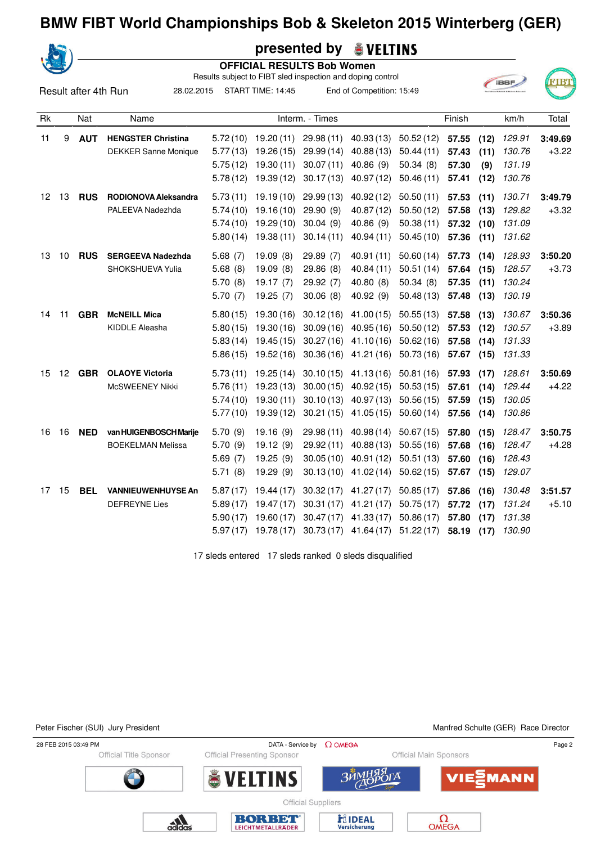|    |       |                      |                             |          |                   | presented by                                                                                    | <b>S</b> VELTINS          |           |        |      |             |         |
|----|-------|----------------------|-----------------------------|----------|-------------------|-------------------------------------------------------------------------------------------------|---------------------------|-----------|--------|------|-------------|---------|
|    |       |                      |                             |          |                   | <b>OFFICIAL RESULTS Bob Women</b><br>Results subject to FIBT sled inspection and doping control |                           |           |        |      |             |         |
|    |       | Result after 4th Run | 28.02.2015                  |          | START TIME: 14:45 |                                                                                                 | End of Competition: 15:49 |           |        |      | <b>IBSF</b> |         |
| Rk |       | Nat                  | Name                        |          |                   | Interm. - Times                                                                                 |                           |           | Finish |      | km/h        | Total   |
| 11 | 9     | <b>AUT</b>           | <b>HENGSTER Christina</b>   | 5.72(10) | 19.20 (11)        | 29.98 (11)                                                                                      | 40.93(13)                 | 50.52(12) | 57.55  | (12) | 129.91      | 3:49.69 |
|    |       |                      | <b>DEKKER Sanne Monique</b> | 5.77(13) | 19.26 (15)        | 29.99(14)                                                                                       | 40.88 (13)                | 50.44(11) | 57.43  | (11) | 130.76      | $+3.22$ |
|    |       |                      |                             | 5.75(12) | 19.30(11)         | 30.07(11)                                                                                       | 40.86 (9)                 | 50.34(8)  | 57.30  | (9)  | 131.19      |         |
|    |       |                      |                             | 5.78(12) | 19.39 (12)        | 30.17(13)                                                                                       | 40.97 (12)                | 50.46(11) | 57.41  | (12) | 130.76      |         |
|    | 12 13 | <b>RUS</b>           | RODIONOVA Aleksandra        | 5.73(11) | 19.19(10)         | 29.99 (13)                                                                                      | 40.92 (12)                | 50.50(11) | 57.53  | (11) | 130.71      | 3:49.79 |
|    |       |                      | PALEEVA Nadezhda            | 5.74(10) | 19.16(10)         | 29.90(9)                                                                                        | 40.87 (12)                | 50.50(12) | 57.58  | (13) | 129.82      | $+3.32$ |
|    |       |                      |                             | 5.74(10) | 19.29(10)         | 30.04(9)                                                                                        | 40.86 (9)                 | 50.38(11) | 57.32  | (10) | 131.09      |         |
|    |       |                      |                             | 5.80(14) | 19.38(11)         | 30.14(11)                                                                                       | 40.94 (11)                | 50.45(10) | 57.36  | (11) | 131.62      |         |
| 13 | 10    | <b>RUS</b>           | <b>SERGEEVA Nadezhda</b>    | 5.68(7)  | 19.09(8)          | 29.89 (7)                                                                                       | 40.91 (11)                | 50.60(14) | 57.73  | (14) | 128.93      | 3:50.20 |
|    |       |                      | SHOKSHUEVA Yulia            | 5.68(8)  | 19.09(8)          | 29.86 (8)                                                                                       | 40.84 (11)                | 50.51(14) | 57.64  | (15) | 128.57      | $+3.73$ |
|    |       |                      |                             | 5.70(8)  | 19.17(7)          | 29.92 (7)                                                                                       | 40.80 (8)                 | 50.34(8)  | 57.35  | (11) | 130.24      |         |
|    |       |                      |                             | 5.70(7)  | 19.25(7)          | 30.06(8)                                                                                        | 40.92 (9)                 | 50.48(13) | 57.48  | (13) | 130.19      |         |
| 14 | 11    | <b>GBR</b>           | <b>McNEILL Mica</b>         | 5.80(15) | 19.30 (16)        | 30.12(16)                                                                                       | 41.00 (15)                | 50.55(13) | 57.58  | (13) | 130.67      | 3:50.36 |
|    |       |                      | <b>KIDDLE Aleasha</b>       | 5.80(15) | 19.30 (16)        | 30.09(16)                                                                                       | 40.95 (16)                | 50.50(12) | 57.53  | (12) | 130.57      | $+3.89$ |
|    |       |                      |                             | 5.83(14) | 19.45 (15)        | 30.27(16)                                                                                       | 41.10 (16)                | 50.62(16) | 57.58  | (14) | 131.33      |         |
|    |       |                      |                             | 5.86(15) | 19.52 (16)        | 30.36(16)                                                                                       | 41.21 (16)                | 50.73(16) | 57.67  | (15) | 131.33      |         |
| 15 | -12   | <b>GBR</b>           | <b>OLAOYE Victoria</b>      | 5.73(11) | 19.25(14)         | 30.10(15)                                                                                       | 41.13(16)                 | 50.81(16) | 57.93  | (17) | 128.61      | 3:50.69 |
|    |       |                      | McSWEENEY Nikki             | 5.76(11) | 19.23 (13)        | 30.00(15)                                                                                       | 40.92(15)                 | 50.53(15) | 57.61  | (14) | 129.44      | $+4.22$ |
|    |       |                      |                             | 5.74(10) | 19.30(11)         | 30.10(13)                                                                                       | 40.97 (13)                | 50.56(15) | 57.59  | (15) | 130.05      |         |
|    |       |                      |                             | 5.77(10) | 19.39 (12)        | 30.21(15)                                                                                       | 41.05(15)                 | 50.60(14) | 57.56  | (14) | 130.86      |         |
| 16 | 16    | <b>NED</b>           | van HUIGENBOSCH Marije      | 5.70(9)  | 19.16(9)          | 29.98(11)                                                                                       | 40.98(14)                 | 50.67(15) | 57.80  | (15) | 128.47      | 3:50.75 |
|    |       |                      | <b>BOEKELMAN Melissa</b>    | 5.70 (9) | 19.12 (9)         | 29.92 (11)                                                                                      | 40.88 (13)                | 50.55(16) | 57.68  | (16) | 128.47      | $+4.28$ |
|    |       |                      |                             | 5.69(7)  | 19.25 (9)         | 30.05(10)                                                                                       | 40.91 (12)                | 50.51(13) | 57.60  | (16) | 128.43      |         |
|    |       |                      |                             | 5.71(8)  | 19.29 (9)         | 30.13(10)                                                                                       | 41.02(14)                 | 50.62(15) | 57.67  | (15) | 129.07      |         |
| 17 | 15    | <b>BEL</b>           | <b>VANNIEUWENHUYSE An</b>   | 5.87(17) | 19.44 (17)        | 30.32(17)                                                                                       | 41.27 (17)                | 50.85(17) | 57.86  | (16) | 130.48      | 3:51.57 |
|    |       |                      | <b>DEFREYNE Lies</b>        | 5.89(17) | 19.47 (17)        | 30.31(17)                                                                                       | 41.21 (17)                | 50.75(17) | 57.72  | (17) | 131.24      | $+5.10$ |
|    |       |                      |                             | 5.90(17) | 19.60(17)         | 30.47(17)                                                                                       | 41.33(17)                 | 50.86(17) | 57.80  | (17) | 131.38      |         |
|    |       |                      |                             | 5.97(17) | 19.78 (17)        | 30.73(17)                                                                                       | 41.64(17)                 | 51.22(17) | 58.19  | (17) | 130.90      |         |

17 sleds entered 17 sleds ranked 0 sleds disqualified

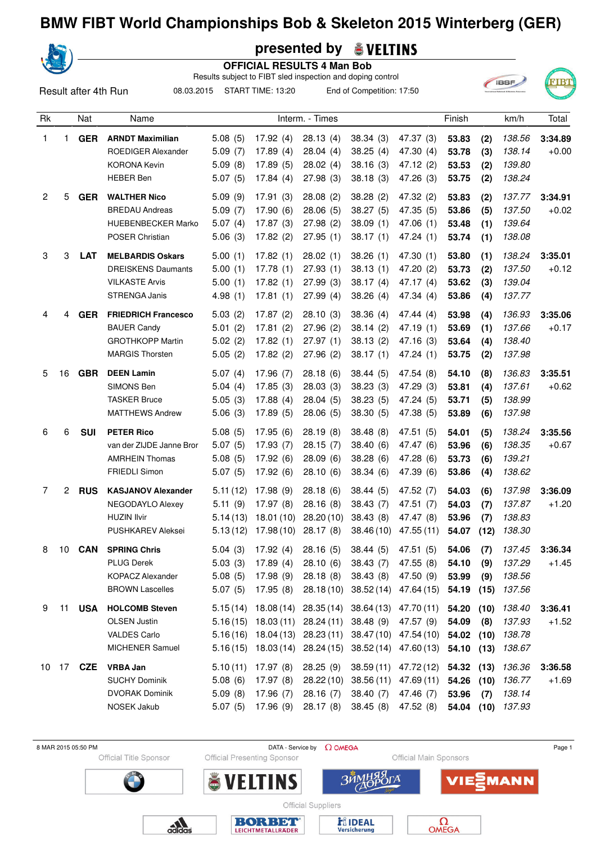

#### **presented by**

|                |    |                      |                            |          | <b>OFFICIAL RESULTS 4 Man Bob</b><br>Results subject to FIBT sled inspection and doping control |                 |                           |                        |        |      |               |         |
|----------------|----|----------------------|----------------------------|----------|-------------------------------------------------------------------------------------------------|-----------------|---------------------------|------------------------|--------|------|---------------|---------|
|                |    | Result after 4th Run | 08.03.2015                 |          | START TIME: 13:20                                                                               |                 | End of Competition: 17:50 |                        |        |      | <b>IBSF</b>   |         |
| Rk             |    | Nat                  | Name                       |          |                                                                                                 | Interm. - Times |                           |                        | Finish |      | km/h          | Total   |
| 1              | 1  | <b>GER</b>           | <b>ARNDT Maximilian</b>    | 5.08(5)  | 17.92(4)                                                                                        | 28.13(4)        | 38.34(3)                  | 47.37 (3)              | 53.83  | (2)  | 138.56        | 3:34.89 |
|                |    |                      | ROEDIGER Alexander         | 5.09(7)  | 17.89(4)                                                                                        | 28.04(4)        | 38.25(4)                  | 47.30 (4)              | 53.78  | (3)  | 138.14        | $+0.00$ |
|                |    |                      | <b>KORONA Kevin</b>        | 5.09(8)  | 17.89(5)                                                                                        | 28.02(4)        | 38.16(3)                  | 47.12 (2)              | 53.53  | (2)  | 139.80        |         |
|                |    |                      | <b>HEBER Ben</b>           | 5.07(5)  | 17.84(4)                                                                                        | 27.98(3)        | 38.18(3)                  | 47.26 (3)              | 53.75  | (2)  | 138.24        |         |
| $\overline{c}$ | 5  | <b>GER</b>           | <b>WALTHER Nico</b>        | 5.09(9)  | 17.91(3)                                                                                        | 28.08(2)        | 38.28(2)                  | 47.32 (2)              | 53.83  | (2)  | 137.77        | 3:34.91 |
|                |    |                      | <b>BREDAU Andreas</b>      | 5.09(7)  | 17.90(6)                                                                                        | 28.06(5)        | 38.27(5)                  | 47.35 (5)              | 53.86  | (5)  | 137.50        | $+0.02$ |
|                |    |                      | <b>HUEBENBECKER Marko</b>  | 5.07(4)  | 17.87(3)                                                                                        | 27.98(2)        | 38.09(1)                  | 47.06(1)               | 53.48  | (1)  | 139.64        |         |
|                |    |                      | POSER Christian            | 5.06(3)  | 17.82(2)                                                                                        | 27.95(1)        | 38.17(1)                  | 47.24(1)               | 53.74  | (1)  | 138.08        |         |
| 3              | 3  | <b>LAT</b>           | <b>MELBARDIS Oskars</b>    | 5.00(1)  | 17.82(1)                                                                                        | 28.02(1)        | 38.26(1)                  | 47.30 (1)              | 53.80  | (1)  | 138.24        | 3:35.01 |
|                |    |                      | <b>DREISKENS Daumants</b>  | 5.00(1)  | 17.78(1)                                                                                        | 27.93(1)        | 38.13(1)                  | 47.20 (2)              | 53.73  | (2)  | 137.50        | $+0.12$ |
|                |    |                      | <b>VILKASTE Arvis</b>      | 5.00(1)  | 17.82(1)                                                                                        | 27.99(3)        | 38.17(4)                  | 47.17 (4)              | 53.62  | (3)  | 139.04        |         |
|                |    |                      | <b>STRENGA Janis</b>       | 4.98(1)  | 17.81(1)                                                                                        | 27.99(4)        | 38.26(4)                  | 47.34 (4)              | 53.86  | (4)  | 137.77        |         |
| 4              | 4  | <b>GER</b>           | <b>FRIEDRICH Francesco</b> | 5.03(2)  | 17.87(2)                                                                                        | 28.10(3)        | 38.36(4)                  | 47.44(4)               | 53.98  | (4)  | 136.93        | 3:35.06 |
|                |    |                      | <b>BAUER Candy</b>         | 5.01(2)  | 17.81(2)                                                                                        | 27.96(2)        | 38.14(2)                  | 47.19(1)               | 53.69  | (1)  | 137.66        | $+0.17$ |
|                |    |                      | <b>GROTHKOPP Martin</b>    | 5.02(2)  | 17.82(1)                                                                                        | 27.97(1)        | 38.13(2)                  | 47.16(3)               | 53.64  | (4)  | 138.40        |         |
|                |    |                      | <b>MARGIS Thorsten</b>     | 5.05(2)  | 17.82(2)                                                                                        | 27.96(2)        | 38.17(1)                  | 47.24 (1)              | 53.75  | (2)  | 137.98        |         |
| 5              | 16 | <b>GBR</b>           | <b>DEEN Lamin</b>          | 5.07(4)  | 17.96(7)                                                                                        | 28.18(6)        | 38.44(5)                  | 47.54 (8)              | 54.10  | (8)  | 136.83        | 3:35.51 |
|                |    |                      | SIMONS Ben                 | 5.04(4)  | 17.85(3)                                                                                        | 28.03(3)        | 38.23(3)                  | 47.29 (3)              | 53.81  | (4)  | 137.61        | $+0.62$ |
|                |    |                      | <b>TASKER Bruce</b>        | 5.05(3)  | 17.88(4)                                                                                        | 28.04(5)        | 38.23(5)                  | 47.24 (5)              | 53.71  | (5)  | 138.99        |         |
|                |    |                      | <b>MATTHEWS Andrew</b>     | 5.06(3)  | 17.89(5)                                                                                        | 28.06(5)        | 38.30(5)                  | 47.38 (5)              | 53.89  | (6)  | 137.98        |         |
| 6              | 6  | <b>SUI</b>           | <b>PETER Rico</b>          | 5.08(5)  | 17.95(6)                                                                                        | 28.19(8)        | 38.48(8)                  | 47.51 (5)              | 54.01  | (5)  | 138.24        | 3:35.56 |
|                |    |                      | van der ZIJDE Janne Bror   | 5.07(5)  | 17.93(7)                                                                                        | 28.15(7)        | 38.40(6)                  | 47.47 (6)              | 53.96  | (6)  | 138.35        | $+0.67$ |
|                |    |                      | <b>AMRHEIN Thomas</b>      | 5.08(5)  | 17.92(6)                                                                                        | 28.09(6)        | 38.28 (6)                 | 47.28 (6)              | 53.73  | (6)  | 139.21        |         |
|                |    |                      | <b>FRIEDLI Simon</b>       | 5.07(5)  | 17.92(6)                                                                                        | 28.10(6)        | 38.34(6)                  | 47.39 (6)              | 53.86  | (4)  | 138.62        |         |
| 7              | 2  | <b>RUS</b>           | <b>KASJANOV Alexander</b>  | 5.11(12) | 17.98(9)                                                                                        | 28.18(6)        | 38.44(5)                  | 47.52 (7)              | 54.03  | (6)  | 137.98        | 3:36.09 |
|                |    |                      | NEGODAYLO Alexey           | 5.11(9)  | 17.97(8)                                                                                        | 28.16(8)        | 38.43(7)                  | 47.51 (7)              | 54.03  | (7)  | 137.87        | $+1.20$ |
|                |    |                      | <b>HUZIN Ilvir</b>         |          | $5.14(13)$ 18.01 (10) 28.20 (10)                                                                |                 | 38.43(8)                  | 47.47 (8)              | 53.96  | (7)  | 138.83        |         |
|                |    |                      | PUSHKAREV Aleksei          |          | $5.13(12)$ 17.98 (10)                                                                           | 28.17(8)        | 38.46(10)                 | 47.55(11)              | 54.07  | (12) | 138.30        |         |
| 8              |    | 10 <b>CAN</b>        | <b>SPRING Chris</b>        | 5.04(3)  | 17.92(4)                                                                                        | 28.16(5)        | 38.44(5)                  | 47.51 (5)              | 54.06  | (7)  | 137.45        | 3:36.34 |
|                |    |                      | <b>PLUG Derek</b>          | 5.03(3)  | 17.89(4)                                                                                        | 28.10(6)        | 38.43(7)                  | 47.55 (8)              | 54.10  | (9)  | 137.29        | $+1.45$ |
|                |    |                      | <b>KOPACZ Alexander</b>    | 5.08(5)  | 17.98(9)                                                                                        | 28.18(8)        | 38.43(8)                  | 47.50 (9)              | 53.99  | (9)  | 138.56        |         |
|                |    |                      | <b>BROWN Lascelles</b>     | 5.07(5)  | 17.95(8)                                                                                        | 28.18(10)       | 38.52(14)                 | 47.64 (15) 54.19       |        | (15) | 137.56        |         |
| 9              | 11 | <b>USA</b>           | <b>HOLCOMB Steven</b>      |          | $5.15(14)$ 18.08 (14) 28.35 (14)                                                                |                 | 38.64 (13)                | 47.70 (11) 54.20       |        | (10) | 138.40        | 3:36.41 |
|                |    |                      | <b>OLSEN Justin</b>        |          | $5.16(15)$ 18.03 (11)                                                                           | 28.24(11)       | 38.48(9)                  | 47.57 (9)              | 54.09  | (8)  | 137.93        | $+1.52$ |
|                |    |                      | <b>VALDES Carlo</b>        | 5.16(16) | 18.04(13)                                                                                       | 28.23(11)       | 38.47(10)                 | 47.54 (10)             | 54.02  | (10) | 138.78        |         |
|                |    |                      | <b>MICHENER Samuel</b>     | 5.16(15) | 18.03 (14)                                                                                      | 28.24(15)       | 38.52(14)                 | $47.60(13)$ 54.10 (13) |        |      | 138.67        |         |
| 10             | 17 | <b>CZE</b>           | <b>VRBA Jan</b>            | 5.10(11) | 17.97(8)                                                                                        | 28.25(9)        | 38.59(11)                 | 47.72 (12) 54.32 (13)  |        |      | 136.36        | 3:36.58 |
|                |    |                      | <b>SUCHY Dominik</b>       | 5.08(6)  | 17.97 (8)                                                                                       | 28.22(10)       | 38.56(11)                 | 47.69 (11)             | 54.26  | (10) | 136.77        | $+1.69$ |
|                |    |                      | <b>DVORAK Dominik</b>      | 5.09(8)  | 17.96(7)                                                                                        | 28.16(7)        | 38.40(7)                  | 47.46 (7)              | 53.96  | (7)  | 138.14        |         |
|                |    |                      | NOSEK Jakub                | 5.07(5)  | 17.96 (9)                                                                                       | 28.17(8)        | 38.45(8)                  | 47.52 (8)              | 54.04  |      | $(10)$ 137.93 |         |

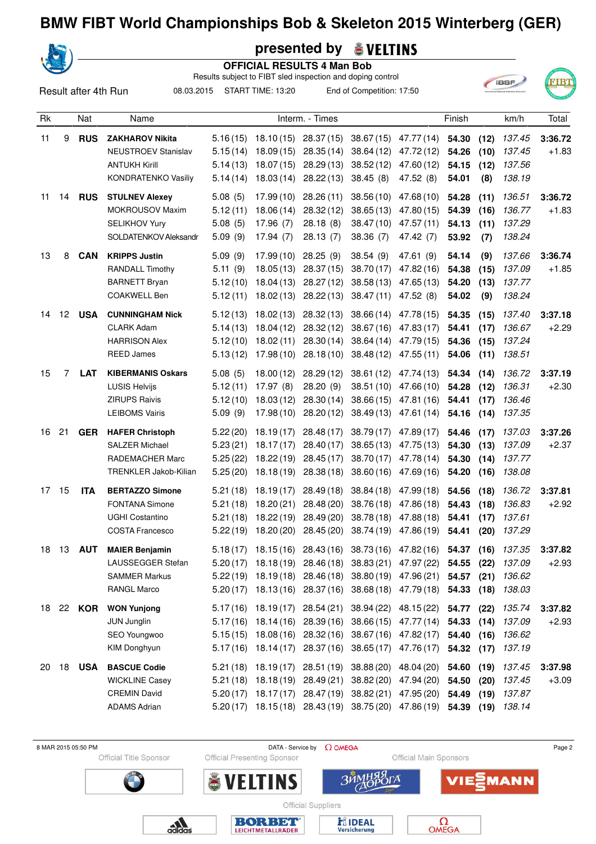

**presented by**

|    |     |                      |                            |          | <b>OFFICIAL RESULTS 4 Man Bob</b> |                                                             |                           |                  |            |      |             |         |
|----|-----|----------------------|----------------------------|----------|-----------------------------------|-------------------------------------------------------------|---------------------------|------------------|------------|------|-------------|---------|
|    |     | Result after 4th Run | 08.03.2015                 |          | START TIME: 13:20                 | Results subject to FIBT sled inspection and doping control  | End of Competition: 17:50 |                  |            |      | <b>IBSF</b> |         |
|    |     |                      |                            |          |                                   |                                                             |                           |                  |            |      |             |         |
| Rk |     | Nat                  | Name                       |          |                                   | Interm. - Times                                             |                           |                  | Finish     |      | km/h        | Total   |
| 11 | 9   | <b>RUS</b>           | <b>ZAKHAROV Nikita</b>     | 5.16(15) | 18.10(15)                         | 28.37(15)                                                   | 38.67(15)                 | 47.77 (14)       | 54.30      | (12) | 137.45      | 3:36.72 |
|    |     |                      | <b>NEUSTROEV Stanislav</b> | 5.15(14) | 18.09(15)                         | 28.35(14)                                                   | 38.64(12)                 | 47.72 (12)       | 54.26      | (10) | 137.45      | $+1.83$ |
|    |     |                      | <b>ANTUKH Kirill</b>       | 5.14(13) | 18.07(15)                         | 28.29(13)                                                   | 38.52(12)                 | 47.60 (12)       | 54.15      | (12) | 137.56      |         |
|    |     |                      | KONDRATENKO Vasiliy        | 5.14(14) | 18.03(14)                         | 28.22(13)                                                   | 38.45(8)                  | 47.52 (8)        | 54.01      | (8)  | 138.19      |         |
| 11 | 14  | <b>RUS</b>           | <b>STULNEV Alexey</b>      | 5.08(5)  | 17.99(10)                         | 28.26(11)                                                   | 38.56(10)                 | 47.68 (10)       | 54.28      | (11) | 136.51      | 3:36.72 |
|    |     |                      | <b>MOKROUSOV Maxim</b>     | 5.12(11) | 18.06(14)                         | 28.32(12)                                                   | 38.65(13)                 | 47.80 (15)       | 54.39      | (16) | 136.77      | $+1.83$ |
|    |     |                      | <b>SELIKHOV Yury</b>       | 5.08(5)  | 17.96(7)                          | 28.18(8)                                                    | 38.47(10)                 | 47.57 (11)       | 54.13      | (11) | 137.29      |         |
|    |     |                      | SOLDATENKOV Aleksandr      | 5.09(9)  | 17.94(7)                          | 28.13(7)                                                    | 38.36 (7)                 | 47.42 (7)        | 53.92      | (7)  | 138.24      |         |
| 13 | 8   | <b>CAN</b>           | <b>KRIPPS Justin</b>       | 5.09(9)  | 17.99(10)                         | 28.25(9)                                                    | 38.54 (9)                 | 47.61 (9)        | 54.14      | (9)  | 137.66      | 3:36.74 |
|    |     |                      | <b>RANDALL Timothy</b>     | 5.11(9)  | 18.05(13)                         | 28.37(15)                                                   | 38.70 (17)                | 47.82 (16)       | 54.38      | (15) | 137.09      | $+1.85$ |
|    |     |                      | <b>BARNETT Bryan</b>       | 5.12(10) | 18.04(13)                         | 28.27(12)                                                   | 38.58(13)                 | 47.65 (13)       | 54.20      | (13) | 137.77      |         |
|    |     |                      | COAKWELL Ben               | 5.12(11) | 18.02(13)                         | 28.22(13)                                                   | 38.47(11)                 | 47.52 (8)        | 54.02      | (9)  | 138.24      |         |
| 14 | 12  | <b>USA</b>           | <b>CUNNINGHAM Nick</b>     | 5.12(13) | 18.02(13)                         | 28.32(13)                                                   | 38.66(14)                 | 47.78 (15)       | 54.35      | (15) | 137.40      | 3:37.18 |
|    |     |                      | <b>CLARK Adam</b>          | 5.14(13) | 18.04(12)                         | 28.32(12)                                                   | 38.67(16)                 | 47.83 (17)       | 54.41      | (17) | 136.67      | $+2.29$ |
|    |     |                      | <b>HARRISON Alex</b>       | 5.12(10) | 18.02(11)                         | 28.30(14)                                                   | 38.64(14)                 | 47.79 (15)       | 54.36      | (15) | 137.24      |         |
|    |     |                      | <b>REED James</b>          | 5.13(12) | 17.98(10)                         | 28.18(10)                                                   | 38.48(12)                 | 47.55(11)        | 54.06      | (11) | 138.51      |         |
| 15 | 7   | <b>LAT</b>           | <b>KIBERMANIS Oskars</b>   | 5.08(5)  | 18.00(12)                         | 28.29(12)                                                   | 38.61(12)                 | 47.74 (13)       | 54.34      | (14) | 136.72      | 3:37.19 |
|    |     |                      | LUSIS Helvijs              | 5.12(11) | 17.97(8)                          | 28.20 (9)                                                   | 38.51(10)                 | 47.66(10)        | 54.28      | (12) | 136.31      | $+2.30$ |
|    |     |                      | <b>ZIRUPS Raivis</b>       | 5.12(10) | 18.03(12)                         | 28.30(14)                                                   | 38.66(15)                 | 47.81 (16)       | 54.41      | (17) | 136.46      |         |
|    |     |                      | <b>LEIBOMS Vairis</b>      | 5.09(9)  | 17.98(10)                         | 28.20(12)                                                   | 38.49(13)                 | 47.61 (14)       | 54.16      | (14) | 137.35      |         |
| 16 | 21  | <b>GER</b>           | <b>HAFER Christoph</b>     | 5.22(20) | 18.19(17)                         | 28.48 (17)                                                  | 38.79(17)                 | 47.89 (17)       | 54.46      | (17) | 137.03      | 3:37.26 |
|    |     |                      | <b>SALZER Michael</b>      | 5.23(21) | 18.17(17)                         | 28.40 (17)                                                  | 38.65(13)                 | 47.75 (13)       | 54.30      | (13) | 137.09      | $+2.37$ |
|    |     |                      | <b>RADEMACHER Marc</b>     | 5.25(22) | 18.22(19)                         | 28.45(17)                                                   | 38.70 (17)                | 47.78 (14)       | 54.30      | (14) | 137.77      |         |
|    |     |                      | TRENKLER Jakob-Kilian      | 5.25(20) | 18.18(19)                         | 28.38(18)                                                   | 38.60(16)                 | 47.69 (16)       | 54.20      | (16) | 138.08      |         |
| 17 | -15 | <b>ITA</b>           | <b>BERTAZZO Simone</b>     | 5.21(18) | 18.19(17)                         | 28.49(18)                                                   | 38.84 (18)                | 47.99 (18)       | 54.56      | (18) | 136.72      | 3:37.81 |
|    |     |                      | <b>FONTANA Simone</b>      | 5.21(18) | 18.20(21)                         | 28.48 (20)                                                  | 38.76(18)                 | 47.86 (18)       | 54.43      | (18) | 136.83      | $+2.92$ |
|    |     |                      | UGHI Costantino            |          |                                   | 5.21 (18) 18.22 (19) 28.49 (20) 38.78 (18) 47.88 (18) 54.41 |                           |                  |            | (17) | 137.61      |         |
|    |     |                      | COSTA Francesco            |          | $5.22(19)$ 18.20(20)              | 28.45(20)                                                   | 38.74 (19)                | 47.86 (19) 54.41 |            | (20) | 137.29      |         |
| 18 |     | 13 <b>AUT</b>        | <b>MAIER Benjamin</b>      | 5.18(17) |                                   | 18.15 (16) 28.43 (16)                                       | 38.73 (16)                | 47.82 (16)       | 54.37      | (16) | 137.35      | 3:37.82 |
|    |     |                      | LAUSSEGGER Stefan          | 5.20(17) | 18.18 (19)                        | 28.46(18)                                                   | 38.83(21)                 | 47.97 (22)       | 54.55 (22) |      | 137.09      | $+2.93$ |
|    |     |                      | <b>SAMMER Markus</b>       |          | $5.22(19)$ 18.19(18)              | 28.46 (18)                                                  | 38.80(19)                 | 47.96 (21)       | 54.57 (21) |      | 136.62      |         |
|    |     |                      | RANGL Marco                | 5.20(17) | 18.13(16)                         | 28.37(16)                                                   | 38.68(18)                 | 47.79 (18)       | 54.33      | (18) | 138.03      |         |
| 18 |     | 22 KOR               | <b>WON Yunjong</b>         | 5.17(16) | 18.19(17)                         | 28.54(21)                                                   | 38.94 (22)                | 48.15 (22)       | 54.77      | (22) | 135.74      | 3:37.82 |
|    |     |                      | <b>JUN Junglin</b>         | 5.17(16) | 18.14(16)                         | 28.39(16)                                                   | 38.66(15)                 | 47.77 (14)       | 54.33      | (14) | 137.09      | $+2.93$ |
|    |     |                      | SEO Youngwoo               | 5.15(15) | 18.08(16)                         | 28.32(16)                                                   | 38.67 (16)                | 47.82 (17)       | 54.40 (16) |      | 136.62      |         |
|    |     |                      | KIM Donghyun               | 5.17(16) | 18.14 (17)                        |                                                             | 28.37 (16) 38.65 (17)     | 47.76 (17)       | 54.32 (17) |      | 137.19      |         |
| 20 | 18  | <b>USA</b>           | <b>BASCUE Codie</b>        | 5.21(18) | 18.19(17)                         | 28.51 (19)                                                  | 38.88 (20)                | 48.04 (20)       | 54.60      | (19) | 137.45      | 3:37.98 |
|    |     |                      | <b>WICKLINE Casey</b>      | 5.21(18) | 18.18(19)                         | 28.49(21)                                                   | 38.82 (20)                | 47.94 (20)       | 54.50      | (20) | 137.45      | $+3.09$ |
|    |     |                      | <b>CREMIN David</b>        | 5.20(17) | 18.17(17)                         | 28.47 (19)                                                  | 38.82(21)                 | 47.95 (20)       | 54.49      | (19) | 137.87      |         |
|    |     |                      | <b>ADAMS Adrian</b>        | 5.20(17) |                                   | 18.15 (18) 28.43 (19) 38.75 (20) 47.86 (19) 54.39 (19)      |                           |                  |            |      | 138.14      |         |

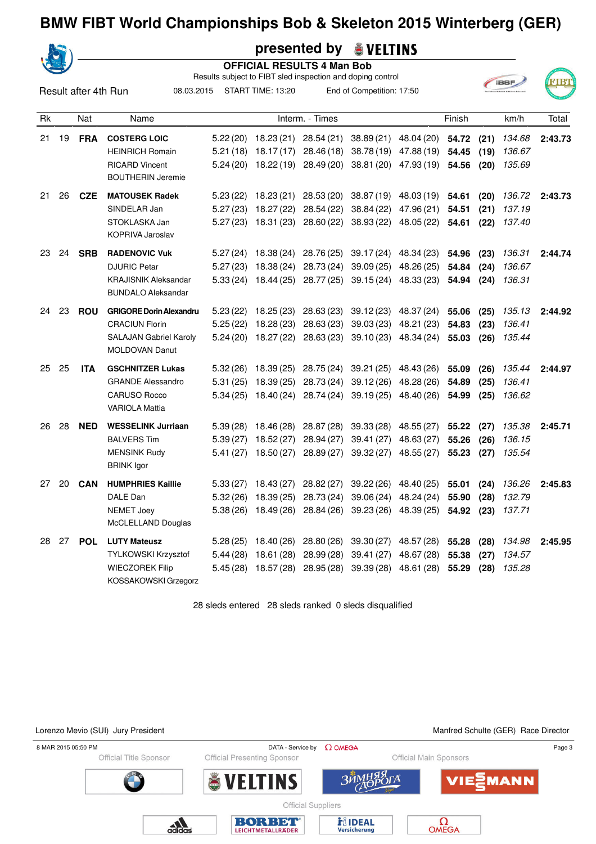|    |    |                      |                                |           |                                    | presented by          | <b>&amp; VELTINS</b>                                                            |                             |        |      |               |         |
|----|----|----------------------|--------------------------------|-----------|------------------------------------|-----------------------|---------------------------------------------------------------------------------|-----------------------------|--------|------|---------------|---------|
|    |    |                      |                                |           | <b>OFFICIAL RESULTS 4 Man Bob</b>  |                       |                                                                                 |                             |        |      |               |         |
|    |    |                      |                                |           |                                    |                       | Results subject to FIBT sled inspection and doping control                      |                             |        |      | <b>IBSF</b>   |         |
|    |    | Result after 4th Run | 08.03.2015                     |           | START TIME: 13:20                  |                       | End of Competition: 17:50                                                       |                             |        |      |               |         |
| Rk |    | Nat                  | Name                           |           |                                    | Interm. - Times       |                                                                                 |                             | Finish |      | km/h          | Total   |
| 21 | 19 | <b>FRA</b>           | <b>COSTERG LOIC</b>            | 5.22(20)  |                                    | 18.23 (21) 28.54 (21) |                                                                                 | 38.89 (21) 48.04 (20)       | 54.72  | (21) | 134.68        | 2:43.73 |
|    |    |                      | <b>HEINRICH Romain</b>         |           | $5.21(18)$ $18.17(17)$ $28.46(18)$ |                       |                                                                                 | 38.78 (19) 47.88 (19)       | 54.45  | (19) | 136.67        |         |
|    |    |                      | <b>RICARD Vincent</b>          |           |                                    |                       | 5.24 (20) 18.22 (19) 28.49 (20) 38.81 (20) 47.93 (19) 54.56                     |                             |        | (20) | 135.69        |         |
|    |    |                      | <b>BOUTHERIN Jeremie</b>       |           |                                    |                       |                                                                                 |                             |        |      |               |         |
| 21 | 26 | <b>CZE</b>           | <b>MATOUSEK Radek</b>          |           | $5.23(22)$ 18.23(21)               | 28.53 (20)            |                                                                                 | 38.87 (19) 48.03 (19) 54.61 |        | (20) | 136.72        | 2:43.73 |
|    |    |                      | SINDELAR Jan                   | 5.27(23)  | 18.27 (22)                         | 28.54(22)             | 38.84 (22)                                                                      | 47.96 (21)                  | 54.51  | (21) | 137.19        |         |
|    |    |                      | STOKLASKA Jan                  | 5.27(23)  | 18.31 (23)                         | 28.60 (22)            | 38.93 (22)                                                                      | 48.05 (22)                  | 54.61  | (22) | 137.40        |         |
|    |    |                      | KOPRIVA Jaroslav               |           |                                    |                       |                                                                                 |                             |        |      |               |         |
| 23 | 24 | <b>SRB</b>           | <b>RADENOVIC Vuk</b>           |           | $5.27(24)$ 18.38 (24)              | 28.76 (25)            |                                                                                 | 39.17 (24) 48.34 (23)       | 54.96  | (23) | 136.31        | 2:44.74 |
|    |    |                      | <b>DJURIC Petar</b>            | 5.27(23)  | 18.38 (24)                         | 28.73 (24)            |                                                                                 | 39.09 (25) 48.26 (25)       | 54.84  | (24) | 136.67        |         |
|    |    |                      | <b>KRAJISNIK Aleksandar</b>    | 5.33 (24) |                                    |                       | 18.44 (25) 28.77 (25) 39.15 (24) 48.33 (23)                                     |                             | 54.94  |      | $(24)$ 136.31 |         |
|    |    |                      | <b>BUNDALO Aleksandar</b>      |           |                                    |                       |                                                                                 |                             |        |      |               |         |
| 24 | 23 | <b>ROU</b>           | <b>GRIGORE Dorin Alexandru</b> | 5.23(22)  | 18.25 (23)                         | 28.63 (23)            |                                                                                 | 39.12 (23) 48.37 (24)       | 55.06  | (25) | 135.13        | 2:44.92 |
|    |    |                      | <b>CRACIUN Florin</b>          | 5.25(22)  | 18.28 (23)                         | 28.63(23)             | 39.03 (23)                                                                      | 48.21 (23)                  | 54.83  | (23) | 136.41        |         |
|    |    |                      | <b>SALAJAN Gabriel Karoly</b>  | 5.24(20)  |                                    | 18.27 (22) 28.63 (23) |                                                                                 | 39.10 (23) 48.34 (24)       | 55.03  | (26) | 135.44        |         |
|    |    |                      | <b>MOLDOVAN Danut</b>          |           |                                    |                       |                                                                                 |                             |        |      |               |         |
| 25 | 25 | <b>ITA</b>           | <b>GSCHNITZER Lukas</b>        | 5.32(26)  | 18.39 (25)                         |                       | 28.75 (24) 39.21 (25)                                                           | 48.43 (26)                  | 55.09  | (26) | 135.44        | 2:44.97 |
|    |    |                      | <b>GRANDE Alessandro</b>       | 5.31(25)  | 18.39 (25)                         | 28.73 (24)            |                                                                                 | 39.12 (26) 48.28 (26)       | 54.89  | (25) | 136.41        |         |
|    |    |                      | <b>CARUSO Rocco</b>            | 5.34(25)  | 18.40 (24)                         |                       | 28.74 (24) 39.19 (25)                                                           | 48.40 (26)                  | 54.99  | (25) | 136.62        |         |
|    |    |                      | <b>VARIOLA Mattia</b>          |           |                                    |                       |                                                                                 |                             |        |      |               |         |
| 26 | 28 | <b>NED</b>           | <b>WESSELINK Jurriaan</b>      | 5.39(28)  | 18.46 (28)                         | 28.87 (28)            | 39.33 (28)                                                                      | 48.55 (27)                  | 55.22  | (27) | 135.38        | 2:45.71 |
|    |    |                      | <b>BALVERS Tim</b>             | 5.39(27)  | 18.52 (27)                         | 28.94 (27)            | 39.41 (27)                                                                      | 48.63 (27)                  | 55.26  | (26) | 136.15        |         |
|    |    |                      | <b>MENSINK Rudy</b>            | 5.41(27)  | 18.50 (27)                         |                       | 28.89 (27) 39.32 (27) 48.55 (27)                                                |                             | 55.23  | (27) | 135.54        |         |
|    |    |                      | <b>BRINK Igor</b>              |           |                                    |                       |                                                                                 |                             |        |      |               |         |
| 27 | 20 | <b>CAN</b>           | <b>HUMPHRIES Kaillie</b>       |           |                                    |                       | 5.33 (27) 18.43 (27) 28.82 (27) 39.22 (26) 48.40 (25) 55.01 (24) 136.26         |                             |        |      |               | 2:45.83 |
|    |    |                      | DALE Dan                       |           |                                    |                       | 5.32 (26) 18.39 (25) 28.73 (24) 39.06 (24) 48.24 (24) 55.90 (28) 132.79         |                             |        |      |               |         |
|    |    |                      | <b>NEMET Joey</b>              |           |                                    |                       | 5.38 (26) 18.49 (26) 28.84 (26) 39.23 (26) 48.39 (25) 54.92 (23) 137.71         |                             |        |      |               |         |
|    |    |                      | McCLELLAND Douglas             |           |                                    |                       |                                                                                 |                             |        |      |               |         |
|    |    | 28  27 <b>POL</b>    | <b>LUTY Mateusz</b>            |           |                                    |                       | 5.28 (25) 18.40 (26) 28.80 (26) 39.30 (27) 48.57 (28) 55.28 (28) 134.98 2:45.95 |                             |        |      |               |         |
|    |    |                      | TYLKOWSKI Krzysztof            |           |                                    |                       | 5.44 (28) 18.61 (28) 28.99 (28) 39.41 (27) 48.67 (28) 55.38 (27) 134.57         |                             |        |      |               |         |
|    |    |                      | <b>WIECZOREK Filip</b>         |           |                                    |                       | 5.45 (28) 18.57 (28) 28.95 (28) 39.39 (28) 48.61 (28) 55.29 (28) 135.28         |                             |        |      |               |         |
|    |    |                      | KOSSAKOWSKI Grzegorz           |           |                                    |                       |                                                                                 |                             |        |      |               |         |
|    |    |                      |                                |           |                                    |                       |                                                                                 |                             |        |      |               |         |

28 sleds entered 28 sleds ranked 0 sleds disqualified

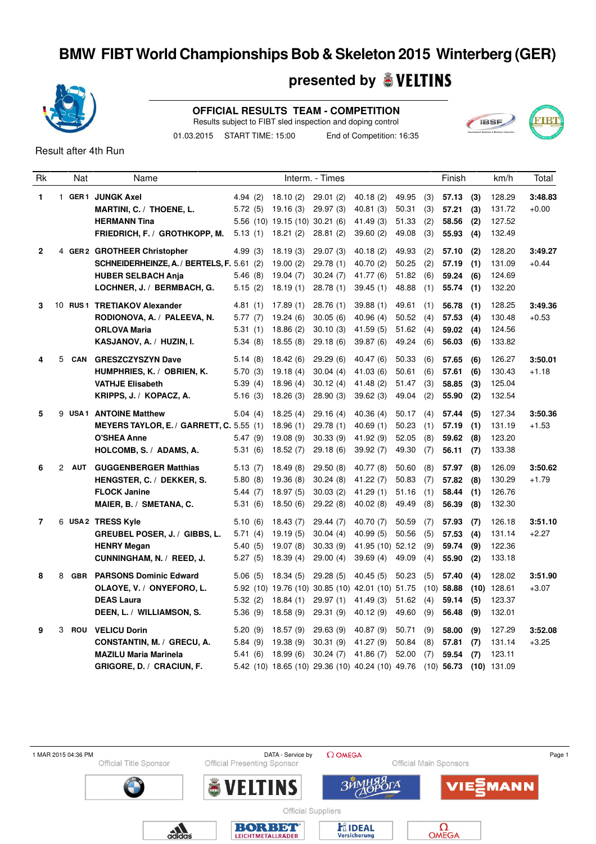

#### **presented by**

**OFFICIAL RESULTS TEAM - COMPETITION**

Results subject to FIBT sled inspection and doping control 01.03.2015 START TIME: 15:00 End of Competition: 16:35



Result after 4th Run

| Rk             |   | Nat        | Name                                            |         |                                | Interm. - Times     |                                                  |       |     | Finish       |     | km/h          | Total   |
|----------------|---|------------|-------------------------------------------------|---------|--------------------------------|---------------------|--------------------------------------------------|-------|-----|--------------|-----|---------------|---------|
| $\mathbf{1}$   |   |            | 1 GER1 JUNGK Axel                               |         | 4.94 (2) 18.10 (2) 29.01 (2)   |                     | 40.18(2)                                         | 49.95 | (3) | 57.13        | (3) | 128.29        | 3:48.83 |
|                |   |            | MARTINI, C. / THOENE, L.                        |         | $5.72(5)$ 19.16 (3) 29.97 (3)  |                     | 40.81(3)                                         | 50.31 | (3) | 57.21        | (3) | 131.72        | $+0.00$ |
|                |   |            | <b>HERMANN Tina</b>                             |         | 5.56 (10) 19.15 (10) 30.21 (6) |                     | 41.49(3)                                         | 51.33 | (2) | 58.56        | (2) | 127.52        |         |
|                |   |            | FRIEDRICH, F. / GROTHKOPP, M.                   | 5.13(1) | 18.21 (2)                      | 28.81(2)            | 39.60(2)                                         | 49.08 | (3) | 55.93        | (4) | 132.49        |         |
| $\overline{2}$ |   |            | 4 GER2 GROTHEER Christopher                     | 4.99(3) | 18.19(3)                       | 29.07(3)            | 40.18(2)                                         | 49.93 | (2) | 57.10        | (2) | 128.20        | 3:49.27 |
|                |   |            | SCHNEIDERHEINZE, A. / BERTELS, F. 5.61 (2)      |         | 19.00 (2)                      | 29.78(1)            | 40.70 (2)                                        | 50.25 | (2) | 57.19        | (1) | 131.09        | $+0.44$ |
|                |   |            | <b>HUBER SELBACH Anja</b>                       | 5.46(8) | 19.04 (7)                      | 30.24(7)            | 41.77 (6)                                        | 51.82 | (6) | 59.24        | (6) | 124.69        |         |
|                |   |            | LOCHNER, J. / BERMBACH, G.                      | 5.15(2) | 18.19(1)                       | 28.78(1)            | 39.45(1)                                         | 48.88 | (1) | 55.74        | (1) | 132.20        |         |
| 3              |   |            | 10 RUS1 TRETIAKOV Alexander                     | 4.81(1) | 17.89(1)                       | 28.76(1)            | 39.88(1)                                         | 49.61 | (1) | 56.78        | (1) | 128.25        | 3:49.36 |
|                |   |            | RODIONOVA, A. / PALEEVA, N.                     | 5.77(7) | 19.24 (6)                      | 30.05(6)            | 40.96(4)                                         | 50.52 | (4) | 57.53        | (4) | 130.48        | $+0.53$ |
|                |   |            | <b>ORLOVA Maria</b>                             | 5.31(1) | 18.86 (2)                      | 30.10(3)            | 41.59(5)                                         | 51.62 | (4) | 59.02        | (4) | 124.56        |         |
|                |   |            | KASJANOV, A. / HUZIN, I.                        | 5.34(8) | 18.55(8)                       | 29.18(6)            | 39.87(6)                                         | 49.24 | (6) | 56.03        | (6) | 133.82        |         |
| 4              | 5 | CAN        | <b>GRESZCZYSZYN Dave</b>                        | 5.14(8) | 18.42(6)                       | 29.29(6)            | 40.47 (6)                                        | 50.33 | (6) | 57.65        | (6) | 126.27        | 3:50.01 |
|                |   |            | HUMPHRIES, K. / OBRIEN, K.                      | 5.70(3) | 19.18(4)                       | 30.04(4)            | 41.03(6)                                         | 50.61 | (6) | 57.61        | (6) | 130.43        | $+1.18$ |
|                |   |            | <b>VATHJE Elisabeth</b>                         | 5.39(4) | 18.96 (4)                      | 30.12(4)            | 41.48 (2)                                        | 51.47 | (3) | 58.85        | (3) | 125.04        |         |
|                |   |            | KRIPPS, J. / KOPACZ, A.                         | 5.16(3) | 18.26(3)                       | 28.90(3)            | 39.62(3)                                         | 49.04 | (2) | 55.90        | (2) | 132.54        |         |
| 5              |   |            | 9 USA1 ANTOINE Matthew                          | 5.04(4) | 18.25 (4)                      | 29.16 (4)           | 40.36(4)                                         | 50.17 | (4) | 57.44        | (5) | 127.34        | 3:50.36 |
|                |   |            | <b>MEYERS TAYLOR, E. / GARRETT, C. 5.55 (1)</b> |         | 18.96(1)                       | 29.78(1)            | 40.69(1)                                         | 50.23 | (1) | 57.19        | (1) | 131.19        | $+1.53$ |
|                |   |            | <b>O'SHEA Anne</b>                              | 5.47(9) | 19.08 (9)                      | 30.33(9)            | 41.92 (9)                                        | 52.05 | (8) | 59.62        | (8) | 123.20        |         |
|                |   |            | HOLCOMB, S. / ADAMS, A.                         | 5.31(6) | 18.52(7)                       | 29.18(6)            | 39.92 (7)                                        | 49.30 | (7) | 56.11        | (7) | 133.38        |         |
| 6              |   | 2 AUT      | <b>GUGGENBERGER Matthias</b>                    | 5.13(7) | 18.49 (8)                      | 29.50(8)            | 40.77 (8)                                        | 50.60 | (8) | 57.97        | (8) | 126.09        | 3:50.62 |
|                |   |            | HENGSTER, C. / DEKKER, S.                       | 5.80(8) | 19.36 (8)                      | 30.24(8)            | 41.22(7)                                         | 50.83 | (7) | 57.82        | (8) | 130.29        | $+1.79$ |
|                |   |            | <b>FLOCK Janine</b>                             | 5.44(7) | 18.97 (5)                      | 30.03(2)            | 41.29(1)                                         | 51.16 | (1) | 58.44        | (1) | 126.76        |         |
|                |   |            | MAIER, B. / SMETANA, C.                         | 5.31(6) | 18.50 (6)                      | 29.22(8)            | 40.02(8)                                         | 49.49 | (8) | 56.39        | (8) | 132.30        |         |
| $\overline{7}$ |   |            | 6 USA2 TRESS Kyle                               | 5.10(6) | 18.43 (7)                      | 29.44 (7)           | 40.70 (7)                                        | 50.59 | (7) | 57.93        | (7) | 126.18        | 3:51.10 |
|                |   |            | GREUBEL POSER, J. / GIBBS, L.                   | 5.71(4) | 19.19(5)                       | 30.04(4)            | 40.99(5)                                         | 50.56 | (5) | 57.53        | (4) | 131.14        | $+2.27$ |
|                |   |            | <b>HENRY Megan</b>                              | 5.40(5) | 19.07 (8)                      | 30.33(9)            | 41.95 (10) 52.12                                 |       | (9) | 59.74        | (9) | 122.36        |         |
|                |   |            | CUNNINGHAM, N. / REED, J.                       | 5.27(5) | 18.39 (4)                      | 29.00(4)            | 39.69(4)                                         | 49.09 | (4) | 55.90        | (2) | 133.18        |         |
| 8              | 8 | <b>GBR</b> | <b>PARSONS Dominic Edward</b>                   | 5.06(5) | 18.34 (5)                      | 29.28(5)            | 40.45(5)                                         | 50.23 | (5) | 57.40        | (4) | 128.02        | 3:51.90 |
|                |   |            | OLAOYE, V. / ONYEFORO, L.                       |         |                                |                     | 5.92 (10) 19.76 (10) 30.85 (10) 42.01 (10) 51.75 |       |     | $(10)$ 58.88 |     | $(10)$ 128.61 | $+3.07$ |
|                |   |            | <b>DEAS Laura</b>                               | 5.32(2) | 18.84 (1)                      | 29.97 (1) 41.49 (3) |                                                  | 51.62 | (4) | 59.14        | (5) | 123.37        |         |
|                |   |            | DEEN, L. / WILLIAMSON, S.                       | 5.36(9) | 18.58 (9)                      | 29.31(9)            | 40.12(9)                                         | 49.60 | (9) | 56.48        | (9) | 132.01        |         |
| 9              | 3 | ROU        | <b>VELICU Dorin</b>                             | 5.20(9) | 18.57 (9)                      | 29.63(9)            | 40.87(9)                                         | 50.71 | (9) | 58.00        | (9) | 127.29        | 3:52.08 |
|                |   |            | CONSTANTIN, M. / GRECU, A.                      | 5.84(9) | 19.38 (9)                      | 30.31(9)            | 41.27 (9)                                        | 50.84 | (8) | 57.81        | (7) | 131.14        | $+3.25$ |
|                |   |            | <b>MAZILU Maria Marinela</b>                    | 5.41(6) | 18.99 (6)                      | 30.24(7)            | 41.86(7)                                         | 52.00 | (7) | 59.54        | (7) | 123.11        |         |
|                |   |            | GRIGORE, D. / CRACIUN, F.                       |         |                                |                     | 5.42 (10) 18.65 (10) 29.36 (10) 40.24 (10) 49.76 |       |     | $(10)$ 56.73 |     | $(10)$ 131.09 |         |
|                |   |            |                                                 |         |                                |                     |                                                  |       |     |              |     |               |         |

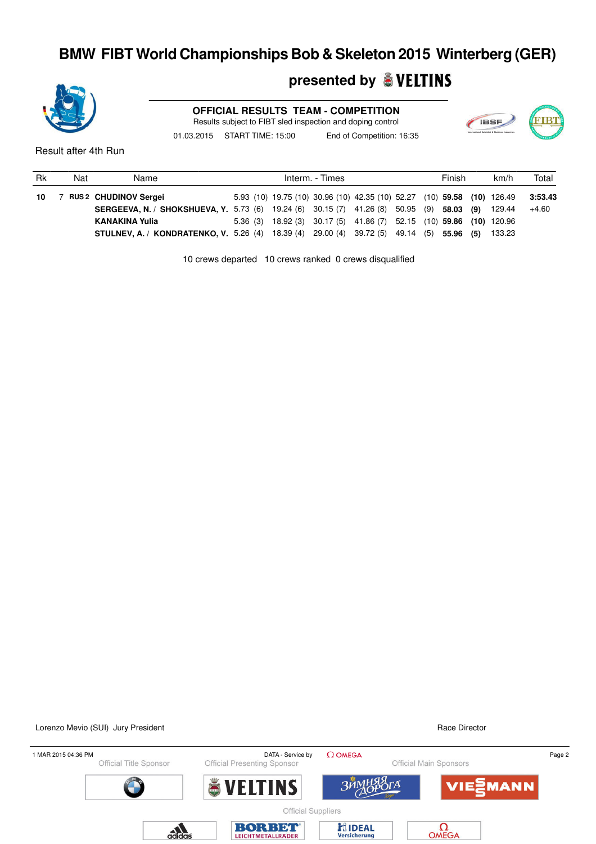#### **presented by**

**OFFICIAL RESULTS TEAM - COMPETITION**

Results subject to FIBT sled inspection and doping control

01.03.2015 START TIME: 15:00 End of Competition: 16:35

**IBSF** 

Result after 4th Run

| Rk | Nat | Name                                                                                                   |  | Interm. - Times |                                                                         |  | Finish | km/h | Total   |
|----|-----|--------------------------------------------------------------------------------------------------------|--|-----------------|-------------------------------------------------------------------------|--|--------|------|---------|
| 10 |     | 7 RUS2 CHUDINOV Sergei                                                                                 |  |                 | 5.93 (10) 19.75 (10) 30.96 (10) 42.35 (10) 52.27 (10) 59.58 (10) 126.49 |  |        |      | 3:53.43 |
|    |     | SERGEEVA, N. / SHOKSHUEVA, Y. 5.73 (6) 19.24 (6) 30.15 (7) 41.26 (8) 50.95 (9) 58.03 (9) 129.44        |  |                 |                                                                         |  |        |      | $+4.60$ |
|    |     | <b>KANAKINA Yulia</b>                                                                                  |  |                 | 5.36 (3) 18.92 (3) 30.17 (5) 41.86 (7) 52.15 (10) 59.86 (10) 120.96     |  |        |      |         |
|    |     | <b>STULNEV, A. / KONDRATENKO, V.</b> 5.26 (4) 18.39 (4) 29.00 (4) 39.72 (5) 49.14 (5) 55.96 (5) 133.23 |  |                 |                                                                         |  |        |      |         |

10 crews departed 10 crews ranked 0 crews disqualified

#### Lorenzo Mevio (SUI) Jury President **Race Director** Race Director 1 MAR 2015 04:36 PM DATA - Service by  $\Omega$  OMEGA Page 2<br>Official Title Sponsor Official Presenting Sponsor Official Main Sponsors 3<sub>MMH</sub>9 ага **MANN** ЛE Official Suppliers **F**il**IDEAL**<br>Versicherung  $\Omega_{\text{OMEGA}}$ BORBET  $a<sub>di</sub> **da g h g h h h h h h h h h h h h h h h h h h h h h h h h h h**$ LEICHTMETALLRADER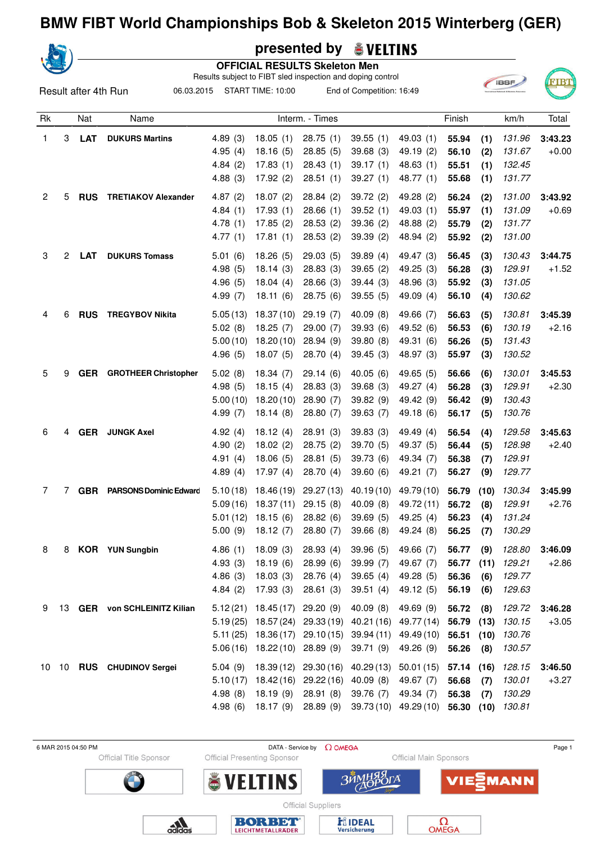|      |    |                      |                                   |                     |                        | presented by <b>WELTINS</b>                                |                           |                        |                |             |                  |         |
|------|----|----------------------|-----------------------------------|---------------------|------------------------|------------------------------------------------------------|---------------------------|------------------------|----------------|-------------|------------------|---------|
|      |    |                      |                                   |                     |                        | <b>OFFICIAL RESULTS Skeleton Men</b>                       |                           |                        |                |             |                  |         |
|      |    |                      |                                   |                     |                        | Results subject to FIBT sled inspection and doping control |                           |                        |                |             | <b>IBSF</b>      |         |
|      |    | Result after 4th Run | 06.03.2015                        |                     | START TIME: 10:00      |                                                            | End of Competition: 16:49 |                        |                |             |                  |         |
|      |    |                      |                                   |                     |                        |                                                            |                           |                        |                |             |                  |         |
| Rk   |    | Nat                  | Name                              |                     |                        | Interm. - Times                                            |                           |                        | Finish         |             | km/h             | Total   |
| 1    | 3  | <b>LAT</b>           | <b>DUKURS Martins</b>             | 4.89(3)             | 18.05(1)               | 28.75(1)                                                   | 39.55(1)                  | 49.03(1)               | 55.94          | (1)         | 131.96           | 3:43.23 |
|      |    |                      |                                   | 4.95(4)             | 18.16(5)               | 28.85(5)                                                   | 39.68(3)                  | 49.19 (2)              | 56.10          | (2)         | 131.67           | $+0.00$ |
|      |    |                      |                                   | 4.84(2)             | 17.83(1)               | 28.43(1)                                                   | 39.17(1)                  | 48.63(1)               | 55.51          | (1)         | 132.45           |         |
|      |    |                      |                                   | 4.88(3)             | 17.92(2)               | 28.51(1)                                                   | 39.27(1)                  | 48.77 (1)              | 55.68          | (1)         | 131.77           |         |
| 2    | 5  | <b>RUS</b>           | <b>TRETIAKOV Alexander</b>        | 4.87(2)             | 18.07(2)               | 28.84(2)                                                   | 39.72(2)                  | 49.28 (2)              | 56.24          | (2)         | 131.00           | 3:43.92 |
|      |    |                      |                                   | 4.84(1)             | 17.93(1)               | 28.66(1)                                                   | 39.52(1)                  | 49.03 (1)              | 55.97          | (1)         | 131.09           | $+0.69$ |
|      |    |                      |                                   | 4.78(1)             | 17.85(2)               | 28.53 (2)                                                  | 39.36 (2)                 | 48.88 (2)              | 55.79          | (2)         | 131.77           |         |
|      |    |                      |                                   | 4.77(1)             | 17.81(1)               | 28.53(2)                                                   | 39.39 (2)                 | 48.94 (2)              | 55.92          | (2)         | 131.00           |         |
| 3    | 2  | <b>LAT</b>           | <b>DUKURS Tomass</b>              | 5.01(6)             | 18.26(5)               | 29.03(5)                                                   | 39.89(4)                  | 49.47 (3)              | 56.45          | (3)         | 130.43           | 3:44.75 |
|      |    |                      |                                   | 4.98(5)             | 18.14(3)               | 28.83(3)                                                   | 39.65(2)                  | 49.25 (3)              | 56.28          | (3)         | 129.91           | $+1.52$ |
|      |    |                      |                                   | 4.96(5)             | 18.04(4)               | 28.66(3)                                                   | 39.44(3)                  | 48.96 (3)              | 55.92          | (3)         | 131.05           |         |
|      |    |                      |                                   | 4.99(7)             | 18.11(6)               | 28.75 (6)                                                  | 39.55(5)                  | 49.09 (4)              | 56.10          | (4)         | 130.62           |         |
| 4    | 6  | <b>RUS</b>           | <b>TREGYBOV Nikita</b>            | 5.05(13)            | 18.37(10)              | 29.19(7)                                                   | 40.09 (8)                 | 49.66 (7)              | 56.63          | (5)         | 130.81           | 3:45.39 |
|      |    |                      |                                   | 5.02(8)             | 18.25(7)               | 29.00(7)                                                   | 39.93(6)                  | 49.52 (6)              | 56.53          | (6)         | 130.19           | $+2.16$ |
|      |    |                      |                                   | 5.00(10)            | 18.20(10)              | 28.94(9)                                                   | 39.80(8)                  | 49.31 (6)              | 56.26          | (5)         | 131.43           |         |
|      |    |                      |                                   | 4.96(5)             | 18.07(5)               | 28.70 (4)                                                  | 39.45(3)                  | 48.97 (3)              | 55.97          | (3)         | 130.52           |         |
|      |    |                      |                                   |                     |                        |                                                            |                           |                        |                |             |                  |         |
| 5    | 9  | <b>GER</b>           | <b>GROTHEER Christopher</b>       | 5.02(8)             | 18.34(7)               | 29.14(6)                                                   | 40.05(6)                  | 49.65(5)               | 56.66          | (6)         | 130.01           | 3:45.53 |
|      |    |                      |                                   | 4.98(5)             | 18.15(4)               | 28.83(3)                                                   | 39.68(3)                  | 49.27 (4)              | 56.28          | (3)         | 129.91           | $+2.30$ |
|      |    |                      |                                   | 5.00(10)            | 18.20(10)              | 28.90(7)                                                   | 39.82 (9)                 | 49.42 (9)              | 56.42          | (9)         | 130.43           |         |
|      |    |                      |                                   | 4.99(7)             | 18.14(8)               | 28.80(7)                                                   | 39.63(7)                  | 49.18 (6)              | 56.17          | (5)         | 130.76           |         |
| 6    | 4  | <b>GER</b>           | <b>JUNGK Axel</b>                 | 4.92(4)             | 18.12(4)               | 28.91(3)                                                   | 39.83(3)                  | 49.49 (4)              | 56.54          | (4)         | 129.58           | 3:45.63 |
|      |    |                      |                                   | 4.90(2)             | 18.02(2)               | 28.75(2)                                                   | 39.70 (5)                 | 49.37 (5)              | 56.44          | (5)         | 128.98           | $+2.40$ |
|      |    |                      |                                   | 4.91(4)             | 18.06(5)               | 28.81(5)                                                   | 39.73 (6)                 | 49.34 (7)              | 56.38          | (7)         | 129.91           |         |
|      |    |                      |                                   | 4.89(4)             | 17.97(4)               | 28.70(4)                                                   | 39.60(6)                  | 49.21 (7)              | 56.27          | (9)         | 129.77           |         |
| 7    | 7  |                      | <b>GBR</b> PARSONS Dominic Edward |                     | $5.10(18)$ 18.46 (19)  | 29.27 (13)                                                 | 40.19(10)                 | 49.79 (10)             | 56.79          | (10)        | 130.34           | 3:45.99 |
|      |    |                      |                                   | 5.09(16)            | 18.37 (11)             | 29.15(8)                                                   | 40.09 (8)                 | 49.72 (11)             | 56.72          | (8)         | 129.91           | $+2.76$ |
|      |    |                      |                                   | 5.01(12)            | 18.15(6)               | 28.82(6)                                                   | 39.69(5)                  | 49.25(4)               | 56.23          | (4)         | 131.24           |         |
|      |    |                      |                                   | 5.00(9)             | 18.12(7)               | 28.80(7)                                                   | 39.66(8)                  | 49.24 (8)              | 56.25          | (7)         | 130.29           |         |
| 8    | 8  |                      | <b>KOR</b> YUN Sungbin            | 4.86(1)             | 18.09(3)               | 28.93(4)                                                   | 39.96(5)                  | 49.66 (7)              | 56.77          | (9)         | 128.80           | 3:46.09 |
|      |    |                      |                                   | 4.93(3)             | 18.19(6)               | 28.99(6)                                                   | 39.99 (7)                 | 49.67 (7)              | 56.77          | (11)        | 129.21           | $+2.86$ |
|      |    |                      |                                   | 4.86(3)             | 18.03(3)               | 28.76 (4)                                                  | 39.65(4)                  | 49.28 (5)              | 56.36          | (6)         | 129.77           |         |
|      |    |                      |                                   | 4.84(2)             | 17.93(3)               | 28.61(3)                                                   | 39.51(4)                  | 49.12 (5)              | 56.19          | (6)         | 129.63           |         |
| 9    | 13 |                      | <b>GER</b> von SCHLEINITZ Kilian  |                     | $5.12(21)$ 18.45(17)   | 29.20(9)                                                   | 40.09(8)                  | 49.69 (9)              | 56.72          | (8)         | 129.72           | 3:46.28 |
|      |    |                      |                                   | 5.19(25)            | 18.57 (24)             | 29.33(19)                                                  | 40.21 (16)                | 49.77 (14)             | 56.79          | (13)        | 130.15           | $+3.05$ |
|      |    |                      |                                   | 5.11(25)            | 18.36 (17)             | 29.10(15)                                                  | 39.94 (11)                | 49.49 (10)             | 56.51          | (10)        | 130.76           |         |
|      |    |                      |                                   | 5.06(16)            | 18.22(10)              | 28.89 (9)                                                  | 39.71 (9)                 | 49.26 (9)              | 56.26          | (8)         | 130.57           |         |
|      |    |                      |                                   |                     |                        |                                                            |                           |                        |                |             |                  |         |
| 1010 |    |                      | <b>RUS</b> CHUDINOV Sergei        | 5.04(9)<br>5.10(17) | 18.39(12)              | 29.30 (16)                                                 | 40.29(13)                 | 50.01(15)              | 57.14          | (16)        | 128.15           | 3:46.50 |
|      |    |                      |                                   | 4.98(8)             | 18.42 (16)<br>18.19(9) | 29.22(16)<br>28.91(8)                                      | 40.09(8)<br>39.76 (7)     | 49.67 (7)<br>49.34 (7) | 56.68<br>56.38 | (7)         | 130.01<br>130.29 | $+3.27$ |
|      |    |                      |                                   | 4.98(6)             | 18.17(9)               | 28.89(9)                                                   |                           | 39.73 (10) 49.29 (10)  | 56.30          | (7)<br>(10) | 130.81           |         |
|      |    |                      |                                   |                     |                        |                                                            |                           |                        |                |             |                  |         |

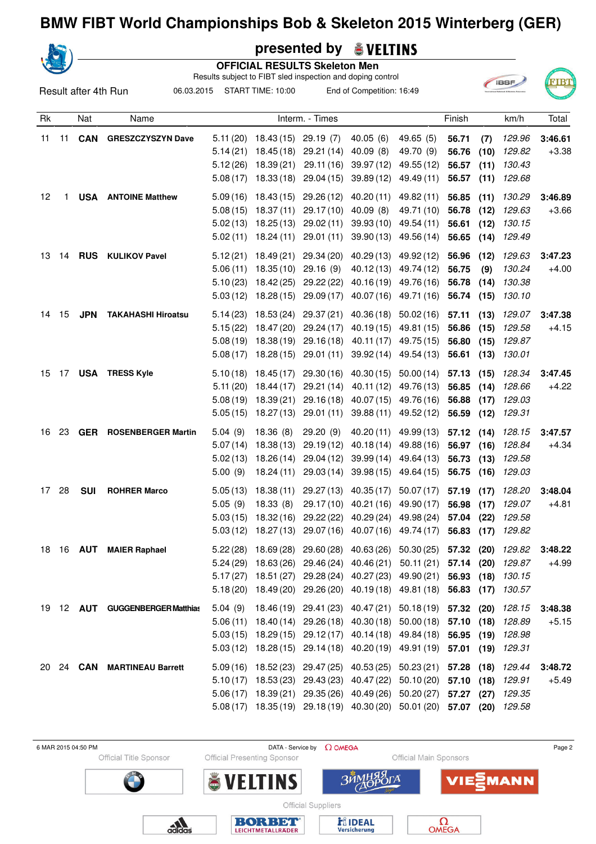

|                 |    |                      |                                 |                     | presented by                   |                                      | <b>S</b> VELTINS                                                                                                                                 |                                                |                |              |                   |                    |
|-----------------|----|----------------------|---------------------------------|---------------------|--------------------------------|--------------------------------------|--------------------------------------------------------------------------------------------------------------------------------------------------|------------------------------------------------|----------------|--------------|-------------------|--------------------|
|                 |    |                      |                                 |                     |                                | <b>OFFICIAL RESULTS Skeleton Men</b> |                                                                                                                                                  |                                                |                |              |                   |                    |
|                 |    | Result after 4th Run | 06.03.2015                      |                     | START TIME: 10:00              |                                      | Results subject to FIBT sled inspection and doping control<br>End of Competition: 16:49                                                          |                                                |                |              | <b>IBSF</b>       | TB.                |
|                 |    |                      |                                 |                     |                                |                                      |                                                                                                                                                  |                                                |                |              |                   |                    |
| Rk              |    | Nat                  | Name                            |                     |                                | Interm. - Times                      |                                                                                                                                                  |                                                | Finish         |              | km/h              | Total              |
| 11              | 11 | <b>CAN</b>           | <b>GRESZCZYSZYN Dave</b>        |                     | 5.11 (20) 18.43 (15) 29.19 (7) |                                      | 40.05(6)                                                                                                                                         | 49.65 (5)                                      | 56.71          | (7)          | 129.96            | 3:46.61            |
|                 |    |                      |                                 | 5.14(21)            | 18.45 (18)                     | 29.21 (14)                           | 40.09(8)                                                                                                                                         | 49.70 (9)                                      | 56.76          | (10)         | 129.82            | $+3.38$            |
|                 |    |                      |                                 | 5.12(26)            | 18.39(21)                      | 29.11 (16)                           | 39.97(12)                                                                                                                                        | 49.55 (12)                                     | 56.57          | (11)         | 130.43            |                    |
|                 |    |                      |                                 | 5.08(17)            | 18.33 (18)                     | 29.04 (15)                           | 39.89(12)                                                                                                                                        | 49.49 (11)                                     | 56.57          | (11)         | 129.68            |                    |
| 12              | 1. |                      | <b>USA</b> ANTOINE Matthew      |                     | $5.09(16)$ 18.43(15)           | 29.26 (12)                           | 40.20(11)                                                                                                                                        | 49.82 (11)                                     | 56.85          | (11)         | 130.29            | 3:46.89            |
|                 |    |                      |                                 | 5.08(15)            | 18.37 (11)                     | 29.17 (10)                           | 40.09(8)                                                                                                                                         | 49.71 (10)                                     | 56.78          | (12)         | 129.63            | $+3.66$            |
|                 |    |                      |                                 | 5.02(13)            | 18.25 (13)                     | 29.02(11)                            | 39.93(10)                                                                                                                                        | 49.54 (11)                                     | 56.61          | (12)         | 130.15            |                    |
|                 |    |                      |                                 | 5.02(11)            | 18.24 (11)                     | 29.01(11)                            | 39.90(13)                                                                                                                                        | 49.56 (14)                                     | 56.65          | (14)         | 129.49            |                    |
| 13              | 14 |                      | <b>RUS</b> KULIKOV Pavel        | 5.12(21)            | 18.49 (21)                     | 29.34 (20)                           | 40.29 (13)                                                                                                                                       | 49.92 (12)                                     | 56.96          | (12)         | 129.63            | 3:47.23            |
|                 |    |                      |                                 | 5.06(11)            | 18.35(10)                      | 29.16(9)                             |                                                                                                                                                  | 40.12 (13) 49.74 (12)                          | 56.75          | (9)          | 130.24            | $+4.00$            |
|                 |    |                      |                                 | 5.10(23)            | 18.42 (25)                     | 29.22 (22)                           |                                                                                                                                                  | 40.16 (19) 49.76 (16)                          | 56.78          | (14)         | 130.38            |                    |
|                 |    |                      |                                 | 5.03(12)            | 18.28 (15)                     | 29.09(17)                            | 40.07 (16)                                                                                                                                       | 49.71 (16)                                     | 56.74          | (15)         | 130.10            |                    |
| 14              | 15 | <b>JPN</b>           | <b>TAKAHASHI Hiroatsu</b>       | 5.14(23)            | 18.53 (24)                     | 29.37 (21)                           | 40.36(18)                                                                                                                                        | 50.02(16)                                      | 57.11          | (13)         | 129.07            | 3:47.38            |
|                 |    |                      |                                 | 5.15(22)            | 18.47 (20)                     | 29.24(17)                            | 40.19(15)                                                                                                                                        | 49.81 (15)                                     | 56.86          | (15)         | 129.58            | $+4.15$            |
|                 |    |                      |                                 | 5.08(19)            | 18.38 (19)                     | 29.16(18)                            | 40.11 (17)                                                                                                                                       | 49.75 (15)                                     | 56.80          | (15)         | 129.87            |                    |
|                 |    |                      |                                 | 5.08(17)            | 18.28 (15)                     | 29.01(11)                            | 39.92(14)                                                                                                                                        | 49.54 (13)                                     | 56.61          | (13)         | 130.01            |                    |
| 15              | 17 |                      | <b>USA TRESS Kyle</b>           | 5.10(18)            | 18.45 (17)                     | 29.30 (16)                           | 40.30(15)                                                                                                                                        | 50.00(14)                                      | 57.13          | (15)         | 128.34            | 3:47.45            |
|                 |    |                      |                                 | 5.11(20)            | 18.44(17)                      | 29.21 (14)                           | 40.11 (12)                                                                                                                                       | 49.76 (13)                                     | 56.85          | (14)         | 128.66            | $+4.22$            |
|                 |    |                      |                                 | 5.08(19)            | 18.39 (21)                     | 29.16(18)                            | 40.07 (15)                                                                                                                                       | 49.76 (16)                                     | 56.88          | (17)         | 129.03            |                    |
|                 |    |                      |                                 | 5.05(15)            | 18.27 (13)                     | 29.01(11)                            | 39.88(11)                                                                                                                                        | 49.52 (12)                                     | 56.59          | (12)         | 129.31            |                    |
|                 | 23 | <b>GER</b>           | <b>ROSENBERGER Martin</b>       |                     |                                |                                      |                                                                                                                                                  |                                                |                |              |                   |                    |
| 16              |    |                      |                                 | 5.04(9)<br>5.07(14) | 18.36(8)<br>18.38 (13)         | 29.20(9)<br>29.19 (12)               |                                                                                                                                                  | 40.20 (11) 49.99 (13)<br>40.18 (14) 49.88 (16) | 57.12<br>56.97 | (14)<br>(16) | 128.15<br>128.84  | 3:47.57<br>$+4.34$ |
|                 |    |                      |                                 | 5.02(13)            | 18.26 (14)                     | 29.04 (12)                           | 39.99 (14)                                                                                                                                       | 49.64 (13)                                     | 56.73          | (13)         | 129.58            |                    |
|                 |    |                      |                                 | 5.00(9)             | 18.24(11)                      | 29.03 (14)                           |                                                                                                                                                  | 39.98 (15) 49.64 (15)                          | 56.75          | (16)         | 129.03            |                    |
|                 |    |                      |                                 |                     |                                |                                      |                                                                                                                                                  |                                                |                |              |                   |                    |
| 17 <sup>7</sup> | 28 | <b>SUI</b>           | <b>ROHRER Marco</b>             |                     |                                |                                      | 5.05 (13) 18.38 (11) 29.27 (13) 40.35 (17) 50.07 (17) 57.19 (17) 128.20                                                                          |                                                |                |              |                   | 3:48.04            |
|                 |    |                      |                                 |                     |                                |                                      | 5.05 (9) 18.33 (8) 29.17 (10) 40.21 (16) 49.90 (17) 56.98 (17) 129.07<br>5.03 (15) 18.32 (16) 29.22 (22) 40.29 (24) 49.98 (24) 57.04 (22) 129.58 |                                                |                |              |                   | +4.81              |
|                 |    |                      |                                 |                     |                                |                                      | 5.03 (12) 18.27 (13) 29.07 (16) 40.07 (16) 49.74 (17)                                                                                            |                                                |                |              | 56.83 (17) 129.82 |                    |
|                 |    |                      |                                 |                     |                                |                                      |                                                                                                                                                  |                                                |                |              |                   |                    |
|                 |    |                      | 18 16 AUT MAIER Raphael         |                     |                                |                                      | 5.22 (28) 18.69 (28) 29.60 (28) 40.63 (26) 50.30 (25) 57.32                                                                                      |                                                |                |              | $(20)$ 129.82     | 3:48.22            |
|                 |    |                      |                                 |                     |                                |                                      | 5.24 (29) 18.63 (26) 29.46 (24) 40.46 (21) 50.11 (21) 57.14 (20) 129.87                                                                          |                                                |                |              |                   | $+4.99$            |
|                 |    |                      |                                 |                     |                                |                                      | 5.17 (27) 18.51 (27) 29.28 (24) 40.27 (23) 49.90 (21) 56.93 (18) 130.15                                                                          |                                                |                |              |                   |                    |
|                 |    |                      |                                 |                     |                                |                                      | 5.18 (20) 18.49 (20) 29.26 (20) 40.19 (18) 49.81 (18) 56.83 (17)                                                                                 |                                                |                |              | 130.57            |                    |
|                 |    |                      | 19 12 AUT GUGGENBERGER Matthias | 5.04(9)             |                                |                                      | 18.46 (19) 29.41 (23) 40.47 (21) 50.18 (19) 57.32 (20)                                                                                           |                                                |                |              | 128.15            | 3:48.38            |
|                 |    |                      |                                 |                     |                                |                                      | 5.06 (11) 18.40 (14) 29.26 (18) 40.30 (18) 50.00 (18) 57.10                                                                                      |                                                |                |              | $(18)$ 128.89     | $+5.15$            |
|                 |    |                      |                                 |                     |                                |                                      | 5.03 (15) 18.29 (15) 29.12 (17) 40.14 (18) 49.84 (18) 56.95                                                                                      |                                                |                | (19)         | 128.98            |                    |
|                 |    |                      |                                 |                     |                                |                                      | 5.03 (12) 18.28 (15) 29.14 (18) 40.20 (19) 49.91 (19) 57.01 (19)                                                                                 |                                                |                |              | 129.31            |                    |
|                 |    |                      | 20 24 CAN MARTINEAU Barrett     |                     |                                |                                      | 5.09 (16) 18.52 (23) 29.47 (25) 40.53 (25) 50.23 (21) 57.28                                                                                      |                                                |                |              | $(18)$ 129.44     | 3:48.72            |
|                 |    |                      |                                 |                     |                                |                                      | $5.10(17)$ 18.53 (23) 29.43 (23) 40.47 (22) 50.10 (20)                                                                                           |                                                | 57.10          |              | $(18)$ 129.91     | $+5.49$            |
|                 |    |                      |                                 |                     |                                |                                      | 5.06 (17) 18.39 (21) 29.35 (26) 40.49 (26) 50.20 (27)                                                                                            |                                                | 57.27 (27)     |              | 129.35            |                    |
|                 |    |                      |                                 |                     |                                |                                      | 5.08 (17) 18.35 (19) 29.18 (19) 40.30 (20) 50.01 (20) 57.07 (20) 129.58                                                                          |                                                |                |              |                   |                    |

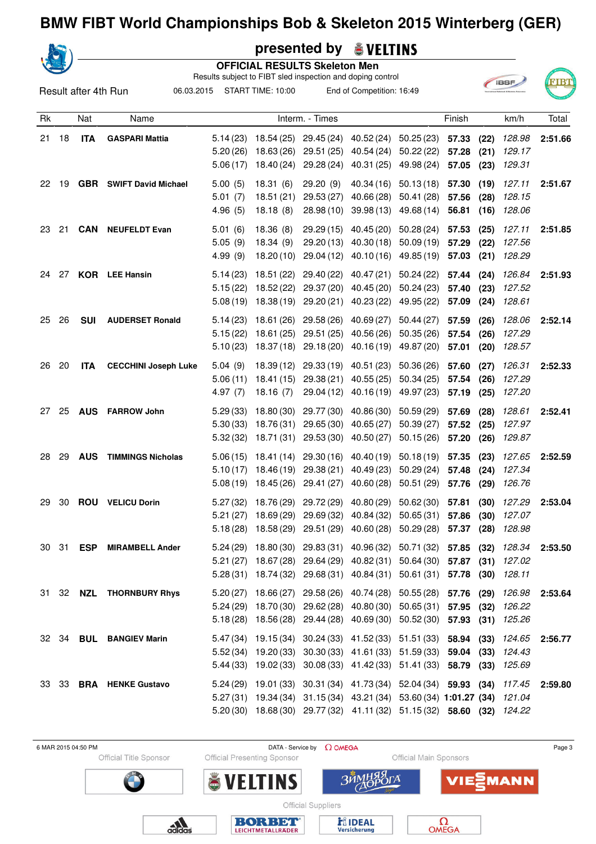

**presented by**

|    |       |                      |                                |                      |                         | <b>OFFICIAL RESULTS Skeleton Men</b><br>Results subject to FIBT sled inspection and doping control                               |                                             |                         |            |      |                  |         |
|----|-------|----------------------|--------------------------------|----------------------|-------------------------|----------------------------------------------------------------------------------------------------------------------------------|---------------------------------------------|-------------------------|------------|------|------------------|---------|
|    |       | Result after 4th Run | 06.03.2015                     |                      | START TIME: 10:00       |                                                                                                                                  | End of Competition: 16:49                   |                         |            |      | <b>IBSF</b>      | гня     |
| Rk |       | Nat                  | Name                           |                      |                         | Interm. - Times                                                                                                                  |                                             |                         | Finish     |      | km/h             | Total   |
| 21 | 18    | <b>ITA</b>           | <b>GASPARI Mattia</b>          | 5.14 (23)            | 18.54 (25)              | 29.45 (24)                                                                                                                       |                                             | 40.52 (24) 50.25 (23)   | 57.33      | (22) | 128.98           | 2:51.66 |
|    |       |                      |                                | 5.20(26)             | 18.63 (26)              | 29.51(25)                                                                                                                        | 40.54 (24)                                  | 50.22(22)               | 57.28      | (21) | 129.17           |         |
|    |       |                      |                                | 5.06(17)             | 18.40(24)               | 29.28 (24)                                                                                                                       | 40.31 (25)                                  | 49.98 (24)              | 57.05      | (23) | 129.31           |         |
| 22 | 19    |                      | <b>GBR</b> SWIFT David Michael | 5.00(5)              | 18.31(6)                | 29.20 (9)                                                                                                                        | 40.34 (16)                                  | 50.13(18)               | 57.30      | (19) | 127.11           | 2:51.67 |
|    |       |                      |                                | 5.01(7)              | 18.51(21)               | 29.53(27)                                                                                                                        | 40.66 (28)                                  | 50.41 (28)              | 57.56      | (28) | 128.15           |         |
|    |       |                      |                                | 4.96(5)              | 18.18(8)                | 28.98(10)                                                                                                                        | 39.98 (13)                                  | 49.68 (14)              | 56.81      | (16) | 128.06           |         |
| 23 | 21    | <b>CAN</b>           | <b>NEUFELDT Evan</b>           | 5.01(6)              | 18.36(8)                | 29.29(15)                                                                                                                        | 40.45 (20)                                  | 50.28(24)               | 57.53      | (25) | 127.11           | 2:51.85 |
|    |       |                      |                                | 5.05(9)              | 18.34(9)                | 29.20(13)                                                                                                                        | 40.30 (18)                                  | 50.09(19)               | 57.29      | (22) | 127.56           |         |
|    |       |                      |                                | 4.99(9)              | 18.20(10)               | 29.04(12)                                                                                                                        | 40.10(16)                                   | 49.85 (19)              | 57.03      | (21) | 128.29           |         |
| 24 | -27   |                      | <b>KOR</b> LEE Hansin          | 5.14(23)             | 18.51 (22)              | 29.40 (22)                                                                                                                       | 40.47 (21)                                  | 50.24(22)               | 57.44      | (24) | 126.84           | 2:51.93 |
|    |       |                      |                                | 5.15(22)             | 18.52 (22)              | 29.37 (20)                                                                                                                       | 40.45 (20)                                  | 50.24(23)               | 57.40      | (23) | 127.52           |         |
|    |       |                      |                                | 5.08(19)             | 18.38(19)               | 29.20(21)                                                                                                                        | 40.23 (22)                                  | 49.95 (22)              | 57.09      | (24) | 128.61           |         |
|    |       |                      |                                |                      |                         |                                                                                                                                  |                                             |                         |            |      |                  |         |
| 25 | 26    | <b>SUI</b>           | <b>AUDERSET Ronald</b>         | 5.14(23)             | 18.61 (26)              | 29.58 (26)                                                                                                                       | 40.69(27)                                   | 50.44(27)               | 57.59      | (26) | 128.06           | 2:52.14 |
|    |       |                      |                                | 5.15(22)<br>5.10(23) | 18.61 (25)<br>18.37(18) | 29.51(25)<br>29.18 (20)                                                                                                          | 40.56 (26)<br>40.16 (19)                    | 50.35(26)<br>49.87 (20) | 57.54      | (26) | 127.29<br>128.57 |         |
|    |       |                      |                                |                      |                         |                                                                                                                                  |                                             |                         | 57.01      | (20) |                  |         |
| 26 | 20    | <b>ITA</b>           | <b>CECCHINI Joseph Luke</b>    | 5.04(9)              | 18.39(12)               | 29.33 (19)                                                                                                                       |                                             | 40.51 (23) 50.36 (26)   | 57.60      | (27) | 126.31           | 2:52.33 |
|    |       |                      |                                | 5.06(11)             | 18.41(15)               | 29.38(21)                                                                                                                        | 40.55(25)                                   | 50.34(25)               | 57.54      | (26) | 127.29           |         |
|    |       |                      |                                | 4.97(7)              | 18.16(7)                | 29.04 (12)                                                                                                                       | 40.16 (19)                                  | 49.97 (23)              | 57.19      | (25) | 127.20           |         |
| 27 | 25    | <b>AUS</b>           | <b>FARROW John</b>             | 5.29(33)             | 18.80 (30)              | 29.77 (30)                                                                                                                       | 40.86 (30)                                  | 50.59(29)               | 57.69      | (28) | 128.61           | 2:52.41 |
|    |       |                      |                                | 5.30(33)             | 18.76 (31)              | 29.65(30)                                                                                                                        | 40.65(27)                                   | 50.39(27)               | 57.52      | (25) | 127.97           |         |
|    |       |                      |                                | 5.32(32)             | 18.71 (31)              | 29.53 (30)                                                                                                                       | 40.50 (27)                                  | 50.15(26)               | 57.20      | (26) | 129.87           |         |
| 28 | 29    | <b>AUS</b>           | <b>TIMMINGS Nicholas</b>       | 5.06(15)             | 18.41(14)               | 29.30(16)                                                                                                                        |                                             | $40.40(19)$ 50.18(19)   | 57.35      | (23) | 127.65           | 2:52.59 |
|    |       |                      |                                | 5.10(17)             | 18.46 (19)              | 29.38(21)                                                                                                                        | 40.49 (23)                                  | 50.29(24)               | 57.48      | (24) | 127.34           |         |
|    |       |                      |                                | 5.08(19)             | 18.45 (26)              | 29.41 (27)                                                                                                                       | 40.60 (28)                                  | 50.51(29)               | 57.76      | (29) | 126.76           |         |
| 29 | 30    |                      | <b>ROU</b> VELICU Dorin        | 5.27 (32)            |                         | 18.76 (29) 29.72 (29) 40.80 (29) 50.62 (30) 57.81                                                                                |                                             |                         |            | (30) | 127.29           | 2:53.04 |
|    |       |                      |                                |                      |                         | 5.21 (27) 18.69 (29) 29.69 (32) 40.84 (32) 50.65 (31) 57.86 (30) 127.07                                                          |                                             |                         |            |      |                  |         |
|    |       |                      |                                |                      |                         | 5.18 (28) 18.58 (29) 29.51 (29) 40.60 (28) 50.29 (28) 57.37 (28) 128.98                                                          |                                             |                         |            |      |                  |         |
|    |       |                      |                                |                      |                         |                                                                                                                                  |                                             |                         |            |      |                  |         |
|    | 30 31 | <b>ESP</b>           | <b>MIRAMBELL Ander</b>         |                      |                         | 5.24 (29) 18.80 (30) 29.83 (31) 40.96 (32) 50.71 (32) 57.85 (32) 128.34<br>5.21 (27) 18.67 (28) 29.64 (29) 40.82 (31) 50.64 (30) |                                             |                         | 57.87 (31) |      | 127.02           | 2:53.50 |
|    |       |                      |                                |                      |                         | 5.28 (31) 18.74 (32) 29.68 (31) 40.84 (31) 50.61 (31) 57.78 (30)                                                                 |                                             |                         |            |      | 128.11           |         |
|    |       |                      |                                |                      |                         |                                                                                                                                  |                                             |                         |            |      |                  |         |
|    |       |                      | 31 32 NZL THORNBURY Rhys       |                      |                         | 5.20 (27) 18.66 (27) 29.58 (26) 40.74 (28) 50.55 (28) 57.76 (29)                                                                 |                                             |                         |            |      | 126.98           | 2:53.64 |
|    |       |                      |                                |                      |                         | 5.24 (29) 18.70 (30) 29.62 (28) 40.80 (30) 50.65 (31) 57.95 (32)                                                                 |                                             |                         |            |      | 126.22           |         |
|    |       |                      |                                |                      |                         | 5.18 (28) 18.56 (28) 29.44 (28) 40.69 (30) 50.52 (30) 57.93 (31) 125.26                                                          |                                             |                         |            |      |                  |         |
|    | 32 34 |                      | <b>BUL BANGIEV Marin</b>       |                      | $5.47(34)$ 19.15 (34)   |                                                                                                                                  | 30.24 (33) 41.52 (33) 51.51 (33) 58.94 (33) |                         |            |      | 124.65           | 2:56.77 |
|    |       |                      |                                |                      | $5.52(34)$ 19.20 (33)   |                                                                                                                                  | 30.30 (33) 41.61 (33) 51.59 (33) 59.04      |                         |            | (33) | 124.43           |         |
|    |       |                      |                                |                      | $5.44(33)$ 19.02 (33)   |                                                                                                                                  | 30.08 (33) 41.42 (33) 51.41 (33) 58.79 (33) |                         |            |      | 125.69           |         |
|    | 33 33 |                      | <b>BRA</b> HENKE Gustavo       |                      |                         | 5.24 (29) 19.01 (33) 30.31 (34) 41.73 (34) 52.04 (34) 59.93 (34)                                                                 |                                             |                         |            |      | 117.45           | 2:59.80 |
|    |       |                      |                                |                      |                         | 5.27 (31) 19.34 (34) 31.15 (34) 43.21 (34) 53.60 (34) 1:01.27 (34)                                                               |                                             |                         |            |      | 121.04           |         |
|    |       |                      |                                |                      |                         | 5.20 (30) 18.68 (30) 29.77 (32) 41.11 (32) 51.15 (32) 58.60 (32) 124.22                                                          |                                             |                         |            |      |                  |         |

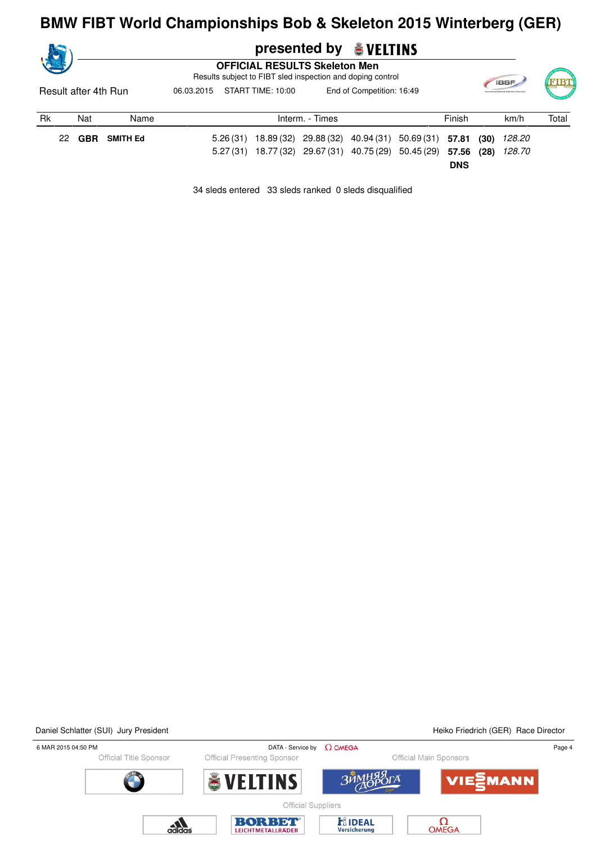|                      |  | presented by <b>WELTINS</b>                                                                        |                 |                                   |          |                   |            |                           |  |       |             |        |  |
|----------------------|--|----------------------------------------------------------------------------------------------------|-----------------|-----------------------------------|----------|-------------------|------------|---------------------------|--|-------|-------------|--------|--|
|                      |  | <b>OFFICIAL RESULTS Skeleton Men</b><br>Results subject to FIBT sled inspection and doping control |                 |                                   |          |                   |            |                           |  |       | <b>IBSF</b> |        |  |
| Result after 4th Run |  |                                                                                                    |                 | 06.03.2015                        |          | START TIME: 10:00 |            | End of Competition: 16:49 |  |       |             |        |  |
| Rk                   |  | Nat                                                                                                | Name            | Finish<br>Interm. - Times<br>km/h |          |                   |            |                           |  |       |             | Total  |  |
|                      |  | GBR                                                                                                | <b>SMITH Ed</b> |                                   | 5.26(31) | 18.89 (32)        | 29.88 (32) | 40.94 (31) 50.69 (31)     |  | 57.81 | (30)        | 128.20 |  |

34 sleds entered 33 sleds ranked 0 sleds disqualified

5.27 (31) 18.77 (32) 29.67 (31) 40.75 (29) 50.45 (29) **57.56 (28)** 128.70

**DNS**

Daniel Schlatter (SUI) Jury President National Schlatter (SUI) Jury President National Research 1990 and Heiko Friedrich (GER) Race Director 6 MAR 2015 04:50 PM  $\blacksquare$  Page 4 Official Title Sponsor **Official Presenting Sponsor** Official Main Sponsors ЗИМНЯЯ **VELTINS**  $TIE$ MANN  $\bar{\bullet}$ Official Suppliers FL IDEAL<br>Versicherung  $\Omega_{\text{OMEGA}}$  $\frac{1}{\text{adidas}}$ BORBET

LEICHTMETALLRADER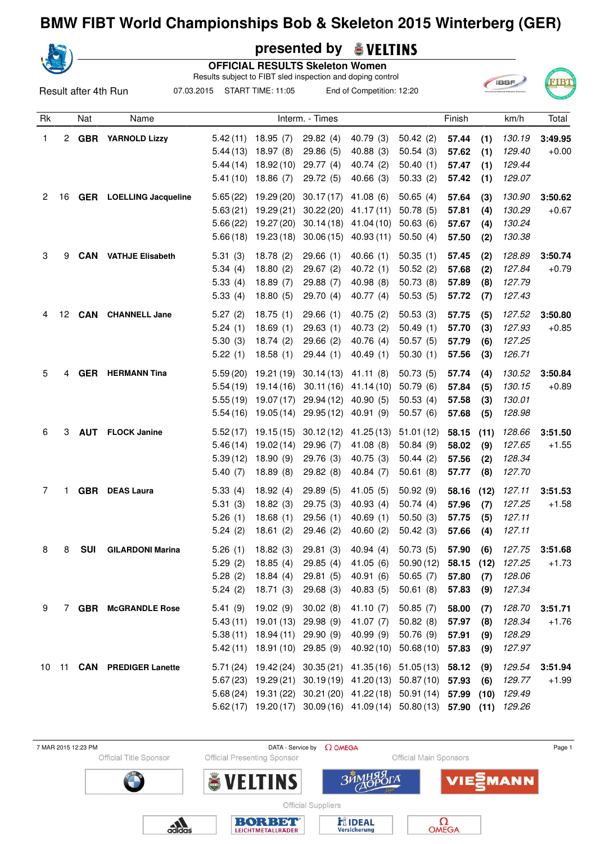|    |                |                      |                                |                                                                          |                       | presented by                           | <b>&amp; VELTINS</b>                        |                       |            |      |             |         |
|----|----------------|----------------------|--------------------------------|--------------------------------------------------------------------------|-----------------------|----------------------------------------|---------------------------------------------|-----------------------|------------|------|-------------|---------|
|    |                |                      |                                |                                                                          |                       | <b>OFFICIAL RESULTS Skeleton Women</b> |                                             |                       |            |      |             |         |
|    |                | Result after 4th Run |                                | Results subject to FIBT sled inspection and doping control<br>07.03.2015 | START TIME: 11:05     |                                        | End of Competition: 12:20                   |                       |            |      | <b>IBSF</b> |         |
| Rk |                | Nat                  | Name                           |                                                                          |                       | Interm. - Times                        |                                             |                       | Finish     |      | km/h        | Total   |
| 1  | 2              | <b>GBR</b>           | <b>YARNOLD Lizzy</b>           | 5.42(11)                                                                 | 18.95(7)              | 29.82(4)                               | 40.79 (3)                                   | 50.42(2)              | 57.44      | (1)  | 130.19      | 3:49.95 |
|    |                |                      |                                | 5.44(13)                                                                 | 18.97(8)              | 29.86(5)                               | 40.88(3)                                    | 50.54(3)              | 57.62      | (1)  | 129.40      | $+0.00$ |
|    |                |                      |                                | 5.44(14)                                                                 | 18.92(10)             | 29.77(4)                               | 40.74(2)                                    | 50.40(1)              | 57.47      | (1)  | 129.44      |         |
|    |                |                      |                                | 5.41(10)                                                                 | 18.86(7)              | 29.72 (5)                              | 40.66(3)                                    | 50.33(2)              | 57.42      | (1)  | 129.07      |         |
| 2  | 16             |                      | <b>GER</b> LOELLING Jacqueline | 5.65(22)                                                                 | 19.29 (20)            | 30.17(17)                              | 41.08(6)                                    | 50.65(4)              | 57.64      | (3)  | 130.90      | 3:50.62 |
|    |                |                      |                                | 5.63(21)                                                                 | 19.29 (21)            | 30.22(20)                              | 41.17(11)                                   | 50.78(5)              | 57.81      | (4)  | 130.29      | $+0.67$ |
|    |                |                      |                                | 5.66(22)                                                                 | 19.27 (20)            | 30.14(18)                              | 41.04 (10)                                  | 50.63(6)              | 57.67      | (4)  | 130.24      |         |
|    |                |                      |                                | 5.66(18)                                                                 | 19.23(18)             | 30.06(15)                              | 40.93 (11)                                  | 50.50(4)              | 57.50      | (2)  | 130.38      |         |
| 3  | 9              | <b>CAN</b>           | <b>VATHJE Elisabeth</b>        | 5.31(3)                                                                  | 18.78(2)              | 29.66(1)                               | 40.66(1)                                    | 50.35(1)              | 57.45      | (2)  | 128.89      | 3:50.74 |
|    |                |                      |                                | 5.34(4)                                                                  | 18.80(2)              | 29.67(2)                               | 40.72(1)                                    | 50.52(2)              | 57.68      | (2)  | 127.84      | $+0.79$ |
|    |                |                      |                                | 5.33(4)                                                                  | 18.89(7)              | 29.88 (7)                              | 40.98 (8)                                   | 50.73(8)              | 57.89      | (8)  | 127.79      |         |
|    |                |                      |                                | 5.33(4)                                                                  | 18.80(5)              | 29.70 (4)                              | 40.77 (4)                                   | 50.53(5)              | 57.72      | (7)  | 127.43      |         |
| 4  | 12             | <b>CAN</b>           | <b>CHANNELL Jane</b>           | 5.27(2)                                                                  | 18.75(1)              | 29.66(1)                               | 40.75(2)                                    | 50.53(3)              | 57.75      | (5)  | 127.52      | 3:50.80 |
|    |                |                      |                                | 5.24(1)                                                                  | 18.69(1)              | 29.63(1)                               | 40.73(2)                                    | 50.49(1)              | 57.70      | (3)  | 127.93      | $+0.85$ |
|    |                |                      |                                | 5.30(3)                                                                  | 18.74(2)              | 29.66(2)                               | 40.76(4)                                    | 50.57(5)              | 57.79      | (6)  | 127.25      |         |
|    |                |                      |                                | 5.22(1)                                                                  | 18.58(1)              | 29.44(1)                               | 40.49(1)                                    | 50.30(1)              | 57.56      | (3)  | 126.71      |         |
| 5  | 4              | <b>GER</b>           | <b>HERMANN Tina</b>            | 5.59(20)                                                                 | 19.21 (19)            | 30.14(13)                              | 41.11(8)                                    | 50.73(5)              | 57.74      | (4)  | 130.52      | 3:50.84 |
|    |                |                      |                                | 5.54(19)                                                                 | 19.14 (16)            | 30.11(16)                              | 41.14(10)                                   | 50.79(6)              | 57.84      | (5)  | 130.15      | $+0.89$ |
|    |                |                      |                                | 5.55(19)                                                                 | 19.07(17)             | 29.94 (12)                             | 40.90 (5)                                   | 50.53(4)              | 57.58      | (3)  | 130.01      |         |
|    |                |                      |                                | 5.54(16)                                                                 | 19.05 (14)            | 29.95(12)                              | 40.91(9)                                    | 50.57(6)              | 57.68      | (5)  | 128.98      |         |
| 6  | 3              | <b>AUT</b>           | <b>FLOCK Janine</b>            | 5.52(17)                                                                 | 19.15(15)             | 30.12(12)                              | 41.25(13)                                   | 51.01(12)             | 58.15      | (11) | 128.66      | 3:51.50 |
|    |                |                      |                                | 5.46(14)                                                                 | 19.02(14)             | 29.96 (7)                              | 41.08 (8)                                   | 50.84(9)              | 58.02      | (9)  | 127.65      | $+1.55$ |
|    |                |                      |                                | 5.39(12)                                                                 | 18.90(9)              | 29.76 (3)                              | 40.75(3)                                    | 50.44(2)              | 57.56      | (2)  | 128.34      |         |
|    |                |                      |                                | 5.40(7)                                                                  | 18.89(8)              | 29.82(8)                               | 40.84 (7)                                   | 50.61(8)              | 57.77      | (8)  | 127.70      |         |
| 7  | 1              |                      | <b>GBR</b> DEAS Laura          | 5.33(4)                                                                  | 18.92(4)              | 29.89(5)                               | 41.05(5)                                    | 50.92(9)              | 58.16 (12) |      | 127.11      | 3:51.53 |
|    |                |                      |                                | 5.31(3)                                                                  | 18.82(3)              | 29.75(3)                               | 40.93(4)                                    | 50.74(4)              | 57.96      | (7)  | 127.25      | $+1.58$ |
|    |                |                      |                                | 5.26(1)                                                                  | 18.68(1)              | 29.56(1)                               | 40.69(1)                                    | 50.50(3)              | 57.75      | (5)  | 127.11      |         |
|    |                |                      |                                | 5.24(2)                                                                  | 18.61(2)              | 29.46(2)                               | 40.60(2)                                    | 50.42(3)              | 57.66      | (4)  | 127.11      |         |
| 8  | 8              | <b>SUI</b>           | <b>GILARDONI Marina</b>        | 5.26(1)                                                                  | 18.82(3)              | 29.81(3)                               | 40.94(4)                                    | 50.73(5)              | 57.90      | (6)  | 127.75      | 3:51.68 |
|    |                |                      |                                | 5.29(2)                                                                  | 18.85(4)              | 29.85(4)                               | 41.05(6)                                    | 50.90(12)             | 58.15      | (12) | 127.25      | $+1.73$ |
|    |                |                      |                                | 5.28(2)                                                                  | 18.84(4)              | 29.81(5)                               | 40.91 (6)                                   | 50.65(7)              | 57.80      | (7)  | 128.06      |         |
|    |                |                      |                                | 5.24(2)                                                                  | 18.71(3)              | 29.68(3)                               | 40.83 (5)                                   | 50.61(8)              | 57.83      | (9)  | 127.34      |         |
| 9  | $\overline{7}$ | <b>GBR</b>           | <b>McGRANDLE Rose</b>          | 5.41(9)                                                                  | 19.02(9)              | 30.02(8)                               | 41.10(7)                                    | 50.85(7)              | 58.00      | (7)  | 128.70      | 3:51.71 |
|    |                |                      |                                | 5.43(11)                                                                 | 19.01 (13)            | 29.98 (9)                              | 41.07 (7)                                   | 50.82(8)              | 57.97      | (8)  | 128.34      | $+1.76$ |
|    |                |                      |                                |                                                                          | $5.38(11)$ 18.94 (11) | 29.90(9)                               | 40.99 (9)                                   | 50.76 (9)             | 57.91      | (9)  | 128.29      |         |
|    |                |                      |                                |                                                                          | $5.42(11)$ 18.91 (10) | 29.85 (9)                              | 40.92 (10)                                  | 50.68(10)             | 57.83      | (9)  | 127.97      |         |
| 10 | 11             | <b>CAN</b>           | <b>PREDIGER Lanette</b>        |                                                                          | $5.71(24)$ 19.42 (24) | 30.35(21)                              |                                             | 41.35 (16) 51.05 (13) | 58.12      | (9)  | 129.54      | 3:51.94 |
|    |                |                      |                                |                                                                          | $5.67(23)$ 19.29 (21) | 30.19(19)                              | 41.20 (13)                                  | 50.87(10)             | 57.93      | (6)  | 129.77      | $+1.99$ |
|    |                |                      |                                |                                                                          | 5.68 (24) 19.31 (22)  | 30.21(20)                              | 41.22 (18)                                  | 50.91 (14)            | 57.99      | (10) | 129.49      |         |
|    |                |                      |                                |                                                                          | $5.62(17)$ 19.20(17)  |                                        | 30.09 (16) 41.09 (14) 50.80 (13) 57.90 (11) |                       |            |      | 129.26      |         |
|    |                |                      |                                |                                                                          |                       |                                        |                                             |                       |            |      |             |         |

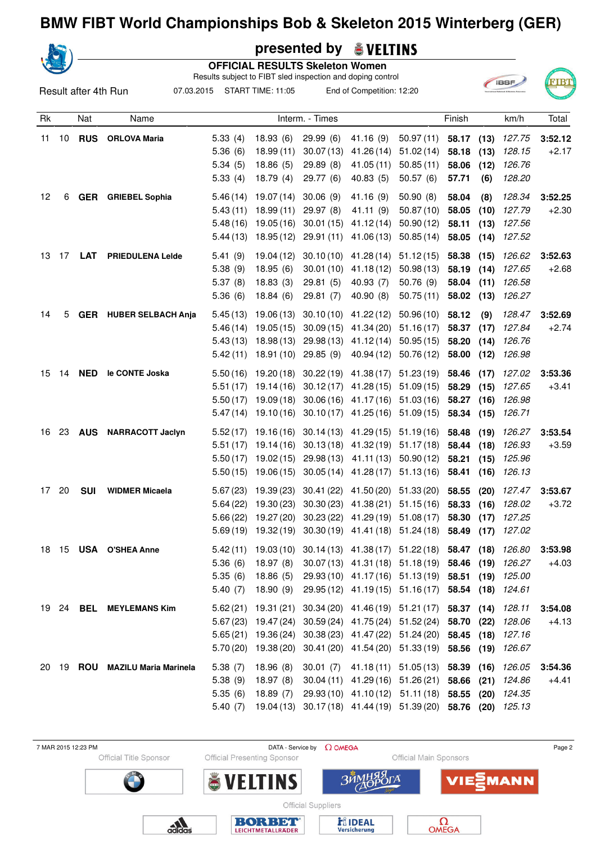l.

|    |       |                      |                                 |                                                            |                       | presented by                                                            | <b>&amp; VELTINS</b>      |                                                       |            |      |                   |         |
|----|-------|----------------------|---------------------------------|------------------------------------------------------------|-----------------------|-------------------------------------------------------------------------|---------------------------|-------------------------------------------------------|------------|------|-------------------|---------|
|    |       |                      |                                 | Results subject to FIBT sled inspection and doping control |                       | <b>OFFICIAL RESULTS Skeleton Women</b>                                  |                           |                                                       |            |      |                   |         |
|    |       | Result after 4th Run | 07.03.2015                      |                                                            | START TIME: 11:05     |                                                                         | End of Competition: 12:20 |                                                       |            |      | <b>IBSF</b>       |         |
| Rk |       | Nat                  | Name                            |                                                            |                       | Interm. - Times                                                         |                           |                                                       | Finish     |      | km/h              | Total   |
| 11 | 10    | <b>RUS</b>           | <b>ORLOVA Maria</b>             | 5.33(4)                                                    | 18.93(6)              | 29.99(6)                                                                | 41.16 (9)                 | 50.97(11)                                             | 58.17      | (13) | 127.75            | 3:52.12 |
|    |       |                      |                                 | 5.36(6)                                                    | 18.99(11)             | 30.07(13)                                                               | 41.26 (14)                | 51.02(14)                                             | 58.18      | (13) | 128.15            | $+2.17$ |
|    |       |                      |                                 | 5.34(5)                                                    | 18.86(5)              | 29.89(8)                                                                | 41.05(11)                 | 50.85(11)                                             | 58.06      | (12) | 126.76            |         |
|    |       |                      |                                 | 5.33(4)                                                    | 18.79 (4)             | 29.77 (6)                                                               | 40.83(5)                  | 50.57(6)                                              | 57.71      | (6)  | 128.20            |         |
| 12 | 6     | <b>GER</b>           | <b>GRIEBEL Sophia</b>           | 5.46(14)                                                   | 19.07 (14)            | 30.06(9)                                                                | 41.16 (9)                 | 50.90(8)                                              | 58.04      | (8)  | 128.34            | 3:52.25 |
|    |       |                      |                                 | 5.43(11)                                                   | 18.99(11)             | 29.97 (8)                                                               | 41.11 (9)                 | 50.87(10)                                             | 58.05      | (10) | 127.79            | $+2.30$ |
|    |       |                      |                                 | 5.48(16)                                                   | 19.05 (16)            | 30.01(15)                                                               | 41.12 (14)                | 50.90(12)                                             | 58.11      | (13) | 127.56            |         |
|    |       |                      |                                 | 5.44(13)                                                   | 18.95(12)             | 29.91 (11)                                                              | 41.06 (13)                | 50.85(14)                                             | 58.05      | (14) | 127.52            |         |
| 13 | 17    | <b>LAT</b>           | <b>PRIEDULENA Leide</b>         | 5.41(9)                                                    | 19.04 (12)            | 30.10(10)                                                               | 41.28 (14)                | 51.12(15)                                             | 58.38      | (15) | 126.62            | 3:52.63 |
|    |       |                      |                                 | 5.38(9)                                                    | 18.95(6)              | 30.01(10)                                                               | 41.18(12)                 | 50.98(13)                                             | 58.19      | (14) | 127.65            | $+2.68$ |
|    |       |                      |                                 | 5.37(8)                                                    | 18.83(3)              | 29.81(5)                                                                | 40.93(7)                  | 50.76 (9)                                             | 58.04      | (11) | 126.58            |         |
|    |       |                      |                                 | 5.36(6)                                                    | 18.84(6)              | 29.81(7)                                                                | 40.90(8)                  | 50.75(11)                                             | 58.02      | (13) | 126.27            |         |
| 14 | 5     |                      | <b>GER</b> HUBER SELBACH Anja   | 5.45(13)                                                   | 19.06 (13)            | 30.10(10)                                                               | 41.22 (12)                | 50.96(10)                                             | 58.12      | (9)  | 128.47            | 3:52.69 |
|    |       |                      |                                 | 5.46(14)                                                   | 19.05(15)             | 30.09(15)                                                               | 41.34(20)                 | 51.16(17)                                             | 58.37      | (17) | 127.84            | $+2.74$ |
|    |       |                      |                                 | 5.43(13)                                                   | 18.98 (13)            | 29.98(13)                                                               | 41.12 (14)                | 50.95(15)                                             | 58.20      | (14) | 126.76            |         |
|    |       |                      |                                 | 5.42(11)                                                   | 18.91 (10)            | 29.85(9)                                                                | 40.94 (12)                | 50.76(12)                                             | 58.00      | (12) | 126.98            |         |
| 15 | 14    | <b>NED</b>           | le CONTE Joska                  | 5.50(16)                                                   | 19.20 (18)            | 30.22(19)                                                               |                           | 41.38 (17) 51.23 (19)                                 | 58.46      | (17) | 127.02            | 3:53.36 |
|    |       |                      |                                 | 5.51(17)                                                   | 19.14 (16)            | 30.12(17)                                                               |                           | 41.28 (15) 51.09 (15)                                 | 58.29      | (15) | 127.65            | $+3.41$ |
|    |       |                      |                                 | 5.50(17)                                                   | 19.09 (18)            | 30.06(16)                                                               | 41.17(16)                 | 51.03(16)                                             | 58.27      | (16) | 126.98            |         |
|    |       |                      |                                 | 5.47(14)                                                   | 19.10 (16)            | 30.10(17)                                                               | 41.25 (16)                | 51.09(15)                                             | 58.34      | (15) | 126.71            |         |
| 16 | 23    | <b>AUS</b>           | <b>NARRACOTT Jaclyn</b>         | 5.52(17)                                                   | 19.16 (16)            | 30.14(13)                                                               |                           | 41.29 (15) 51.19 (16)                                 | 58.48      | (19) | 126.27            | 3:53.54 |
|    |       |                      |                                 | 5.51(17)                                                   | 19.14 (16)            | 30.13(18)                                                               |                           | 41.32 (19) 51.17 (18)                                 | 58.44      | (18) | 126.93            | $+3.59$ |
|    |       |                      |                                 |                                                            | $5.50(17)$ 19.02 (15) | 29.98 (13)                                                              |                           | 41.11 (13) 50.90 (12)                                 | 58.21      | (15) | 125.96            |         |
|    |       |                      |                                 | 5.50(15)                                                   | 19.06 (15)            | 30.05(14)                                                               |                           | 41.28 (17) 51.13 (16)                                 | 58.41      | (16) | 126.13            |         |
|    | 17 20 | SUI                  | <b>WIDMER Micaela</b>           |                                                            |                       | 5.67 (23) 19.39 (23) 30.41 (22) 41.50 (20) 51.33 (20) 58.55 (20) 127.47 |                           |                                                       |            |      |                   | 3:53.67 |
|    |       |                      |                                 |                                                            | $5.64(22)$ 19.30 (23) |                                                                         |                           | $30.30(23)$ 41.38 (21) 51.15 (16)                     | 58.33      | (16) | 128.02            | $+3.72$ |
|    |       |                      |                                 |                                                            | $5.66(22)$ 19.27 (20) |                                                                         |                           | 30.23 (22) 41.29 (19) 51.08 (17) 58.30 (17)           |            |      | 127.25            |         |
|    |       |                      |                                 |                                                            |                       | 5.69 (19) 19.32 (19) 30.30 (19) 41.41 (18) 51.24 (18) 58.49 (17) 127.02 |                           |                                                       |            |      |                   |         |
|    |       |                      | 18 15 USA O'SHEA Anne           | 5.42(11)                                                   | 19.03 (10)            |                                                                         |                           | $30.14(13)$ $41.38(17)$ $51.22(18)$ <b>58.47 (18)</b> |            |      | 126.80            | 3:53.98 |
|    |       |                      |                                 | 5.36(6)                                                    | 18.97 (8)             |                                                                         |                           | $30.07(13)$ 41.31(18) 51.18(19)                       | 58.46      | (19) | 126.27            | $+4.03$ |
|    |       |                      |                                 | 5.35(6)                                                    | 18.86(5)              |                                                                         |                           | 29.93 (10) 41.17 (16) 51.13 (19)                      | 58.51      | (19) | 125.00            |         |
|    |       |                      |                                 | 5.40(7)                                                    | 18.90(9)              |                                                                         |                           | 29.95 (12) 41.19 (15) 51.16 (17) 58.54 (18) 124.61    |            |      |                   |         |
|    |       |                      | 19 24 BEL MEYLEMANS Kim         |                                                            | $5.62(21)$ 19.31 (21) |                                                                         |                           | 30.34 (20) 41.46 (19) 51.21 (17) 58.37 (14)           |            |      | 128.11            | 3:54.08 |
|    |       |                      |                                 |                                                            | $5.67(23)$ 19.47 (24) | 30.59(24)                                                               |                           | 41.75 (24) 51.52 (24)                                 | 58.70 (22) |      | 128.06            | $+4.13$ |
|    |       |                      |                                 |                                                            | $5.65(21)$ 19.36 (24) | 30.38(23)                                                               |                           | 41.47 (22) 51.24 (20)                                 | 58.45      | (18) | 127.16            |         |
|    |       |                      |                                 |                                                            | $5.70(20)$ 19.38 (20) |                                                                         |                           | 30.41 (20) 41.54 (20) 51.33 (19)                      |            |      | 58.56 (19) 126.67 |         |
|    |       |                      | 20 19 ROU MAZILU Maria Marinela | 5.38(7)                                                    | 18.96(8)              | 30.01(7)                                                                |                           | 41.18 (11) 51.05 (13) 58.39                           |            | (16) | 126.05            | 3:54.36 |
|    |       |                      |                                 | 5.38(9)                                                    | 18.97 (8)             |                                                                         |                           | 30.04 (11) 41.29 (16) 51.26 (21)                      | 58.66 (21) |      | 124.86            | $+4.41$ |
|    |       |                      |                                 | 5.35(6)                                                    | 18.89(7)              |                                                                         |                           | 29.93 (10) 41.10 (12) 51.11 (18)                      | 58.55 (20) |      | 124.35            |         |
|    |       |                      |                                 | 5.40(7)                                                    | 19.04 (13)            |                                                                         |                           | 30.17(18) 41.44(19) 51.39(20)                         |            |      | 58.76 (20) 125.13 |         |